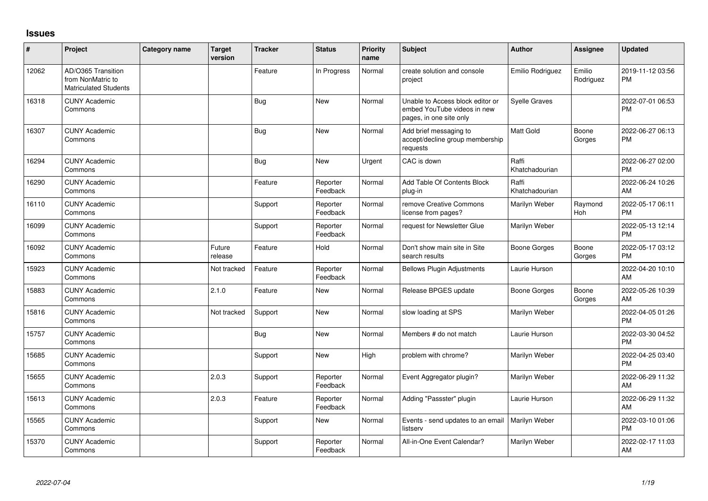## **Issues**

| #     | Project                                                                 | Category name | Target<br>version | <b>Tracker</b> | <b>Status</b>        | <b>Priority</b><br>name | <b>Subject</b>                                                                             | <b>Author</b>           | <b>Assignee</b>       | <b>Updated</b>                |
|-------|-------------------------------------------------------------------------|---------------|-------------------|----------------|----------------------|-------------------------|--------------------------------------------------------------------------------------------|-------------------------|-----------------------|-------------------------------|
| 12062 | AD/O365 Transition<br>from NonMatric to<br><b>Matriculated Students</b> |               |                   | Feature        | In Progress          | Normal                  | create solution and console<br>project                                                     | Emilio Rodriguez        | Emilio<br>Rodriguez   | 2019-11-12 03:56<br><b>PM</b> |
| 16318 | <b>CUNY Academic</b><br>Commons                                         |               |                   | Bug            | <b>New</b>           | Normal                  | Unable to Access block editor or<br>embed YouTube videos in new<br>pages, in one site only | <b>Syelle Graves</b>    |                       | 2022-07-01 06:53<br><b>PM</b> |
| 16307 | <b>CUNY Academic</b><br>Commons                                         |               |                   | Bug            | <b>New</b>           | Normal                  | Add brief messaging to<br>accept/decline group membership<br>requests                      | Matt Gold               | Boone<br>Gorges       | 2022-06-27 06:13<br><b>PM</b> |
| 16294 | <b>CUNY Academic</b><br>Commons                                         |               |                   | <b>Bug</b>     | <b>New</b>           | Urgent                  | CAC is down                                                                                | Raffi<br>Khatchadourian |                       | 2022-06-27 02:00<br><b>PM</b> |
| 16290 | <b>CUNY Academic</b><br>Commons                                         |               |                   | Feature        | Reporter<br>Feedback | Normal                  | Add Table Of Contents Block<br>plug-in                                                     | Raffi<br>Khatchadourian |                       | 2022-06-24 10:26<br>AM        |
| 16110 | <b>CUNY Academic</b><br>Commons                                         |               |                   | Support        | Reporter<br>Feedback | Normal                  | remove Creative Commons<br>license from pages?                                             | Marilyn Weber           | Raymond<br><b>Hoh</b> | 2022-05-17 06:11<br><b>PM</b> |
| 16099 | <b>CUNY Academic</b><br>Commons                                         |               |                   | Support        | Reporter<br>Feedback | Normal                  | request for Newsletter Glue                                                                | Marilyn Weber           |                       | 2022-05-13 12:14<br><b>PM</b> |
| 16092 | <b>CUNY Academic</b><br>Commons                                         |               | Future<br>release | Feature        | Hold                 | Normal                  | Don't show main site in Site<br>search results                                             | Boone Gorges            | Boone<br>Gorges       | 2022-05-17 03:12<br><b>PM</b> |
| 15923 | <b>CUNY Academic</b><br>Commons                                         |               | Not tracked       | Feature        | Reporter<br>Feedback | Normal                  | <b>Bellows Plugin Adjustments</b>                                                          | Laurie Hurson           |                       | 2022-04-20 10:10<br>AM        |
| 15883 | <b>CUNY Academic</b><br>Commons                                         |               | 2.1.0             | Feature        | <b>New</b>           | Normal                  | Release BPGES update                                                                       | Boone Gorges            | Boone<br>Gorges       | 2022-05-26 10:39<br>AM        |
| 15816 | <b>CUNY Academic</b><br>Commons                                         |               | Not tracked       | Support        | <b>New</b>           | Normal                  | slow loading at SPS                                                                        | Marilyn Weber           |                       | 2022-04-05 01:26<br><b>PM</b> |
| 15757 | <b>CUNY Academic</b><br>Commons                                         |               |                   | Bug            | <b>New</b>           | Normal                  | Members # do not match                                                                     | Laurie Hurson           |                       | 2022-03-30 04:52<br><b>PM</b> |
| 15685 | <b>CUNY Academic</b><br>Commons                                         |               |                   | Support        | <b>New</b>           | High                    | problem with chrome?                                                                       | Marilyn Weber           |                       | 2022-04-25 03:40<br><b>PM</b> |
| 15655 | <b>CUNY Academic</b><br>Commons                                         |               | 2.0.3             | Support        | Reporter<br>Feedback | Normal                  | Event Aggregator plugin?                                                                   | Marilyn Weber           |                       | 2022-06-29 11:32<br>AM        |
| 15613 | <b>CUNY Academic</b><br>Commons                                         |               | 2.0.3             | Feature        | Reporter<br>Feedback | Normal                  | Adding "Passster" plugin                                                                   | Laurie Hurson           |                       | 2022-06-29 11:32<br>AM        |
| 15565 | <b>CUNY Academic</b><br>Commons                                         |               |                   | Support        | New                  | Normal                  | Events - send updates to an email<br>listserv                                              | Marilyn Weber           |                       | 2022-03-10 01:06<br><b>PM</b> |
| 15370 | CUNY Academic<br>Commons                                                |               |                   | Support        | Reporter<br>Feedback | Normal                  | All-in-One Event Calendar?                                                                 | Marilyn Weber           |                       | 2022-02-17 11:03<br>AM        |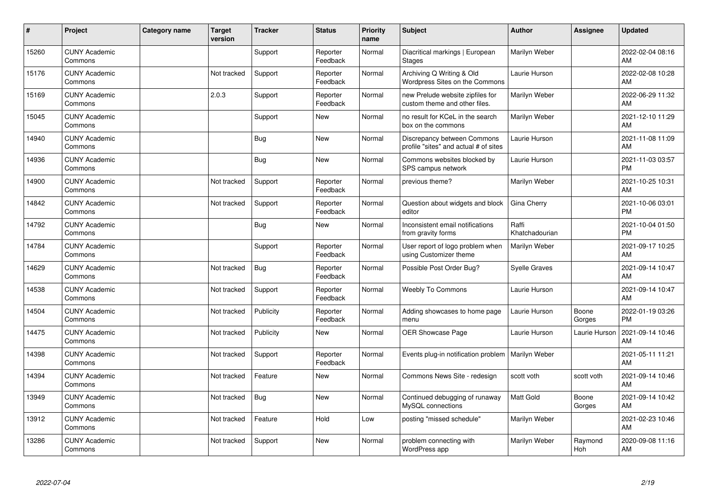| ∦     | Project                         | Category name | <b>Target</b><br>version | <b>Tracker</b> | <b>Status</b>        | Priority<br>name | <b>Subject</b>                                                       | <b>Author</b>           | <b>Assignee</b> | <b>Updated</b>                |
|-------|---------------------------------|---------------|--------------------------|----------------|----------------------|------------------|----------------------------------------------------------------------|-------------------------|-----------------|-------------------------------|
| 15260 | <b>CUNY Academic</b><br>Commons |               |                          | Support        | Reporter<br>Feedback | Normal           | Diacritical markings   European<br><b>Stages</b>                     | Marilyn Weber           |                 | 2022-02-04 08:16<br>AM        |
| 15176 | <b>CUNY Academic</b><br>Commons |               | Not tracked              | Support        | Reporter<br>Feedback | Normal           | Archiving Q Writing & Old<br>Wordpress Sites on the Commons          | Laurie Hurson           |                 | 2022-02-08 10:28<br>AM        |
| 15169 | <b>CUNY Academic</b><br>Commons |               | 2.0.3                    | Support        | Reporter<br>Feedback | Normal           | new Prelude website zipfiles for<br>custom theme and other files.    | Marilyn Weber           |                 | 2022-06-29 11:32<br>AM        |
| 15045 | <b>CUNY Academic</b><br>Commons |               |                          | Support        | <b>New</b>           | Normal           | no result for KCeL in the search<br>box on the commons               | Marilyn Weber           |                 | 2021-12-10 11:29<br>AM        |
| 14940 | <b>CUNY Academic</b><br>Commons |               |                          | <b>Bug</b>     | <b>New</b>           | Normal           | Discrepancy between Commons<br>profile "sites" and actual # of sites | Laurie Hurson           |                 | 2021-11-08 11:09<br>AM        |
| 14936 | <b>CUNY Academic</b><br>Commons |               |                          | <b>Bug</b>     | <b>New</b>           | Normal           | Commons websites blocked by<br>SPS campus network                    | Laurie Hurson           |                 | 2021-11-03 03:57<br><b>PM</b> |
| 14900 | <b>CUNY Academic</b><br>Commons |               | Not tracked              | Support        | Reporter<br>Feedback | Normal           | previous theme?                                                      | Marilyn Weber           |                 | 2021-10-25 10:31<br>AM        |
| 14842 | <b>CUNY Academic</b><br>Commons |               | Not tracked              | Support        | Reporter<br>Feedback | Normal           | Question about widgets and block<br>editor                           | Gina Cherry             |                 | 2021-10-06 03:01<br><b>PM</b> |
| 14792 | <b>CUNY Academic</b><br>Commons |               |                          | <b>Bug</b>     | <b>New</b>           | Normal           | Inconsistent email notifications<br>from gravity forms               | Raffi<br>Khatchadourian |                 | 2021-10-04 01:50<br><b>PM</b> |
| 14784 | <b>CUNY Academic</b><br>Commons |               |                          | Support        | Reporter<br>Feedback | Normal           | User report of logo problem when<br>using Customizer theme           | <b>Marilyn Weber</b>    |                 | 2021-09-17 10:25<br>AM        |
| 14629 | <b>CUNY Academic</b><br>Commons |               | Not tracked              | Bug            | Reporter<br>Feedback | Normal           | Possible Post Order Bug?                                             | <b>Syelle Graves</b>    |                 | 2021-09-14 10:47<br>AM        |
| 14538 | <b>CUNY Academic</b><br>Commons |               | Not tracked              | Support        | Reporter<br>Feedback | Normal           | <b>Weebly To Commons</b>                                             | Laurie Hurson           |                 | 2021-09-14 10:47<br>AM        |
| 14504 | <b>CUNY Academic</b><br>Commons |               | Not tracked              | Publicity      | Reporter<br>Feedback | Normal           | Adding showcases to home page<br>menu                                | Laurie Hurson           | Boone<br>Gorges | 2022-01-19 03:26<br><b>PM</b> |
| 14475 | <b>CUNY Academic</b><br>Commons |               | Not tracked              | Publicity      | <b>New</b>           | Normal           | OER Showcase Page                                                    | Laurie Hurson           | Laurie Hurson   | 2021-09-14 10:46<br>AM        |
| 14398 | <b>CUNY Academic</b><br>Commons |               | Not tracked              | Support        | Reporter<br>Feedback | Normal           | Events plug-in notification problem                                  | Marilyn Weber           |                 | 2021-05-11 11:21<br>AM        |
| 14394 | <b>CUNY Academic</b><br>Commons |               | Not tracked              | Feature        | New                  | Normal           | Commons News Site - redesign                                         | scott voth              | scott voth      | 2021-09-14 10:46<br>AM        |
| 13949 | <b>CUNY Academic</b><br>Commons |               | Not tracked              | Bug            | <b>New</b>           | Normal           | Continued debugging of runaway<br>MySQL connections                  | <b>Matt Gold</b>        | Boone<br>Gorges | 2021-09-14 10:42<br>AM        |
| 13912 | <b>CUNY Academic</b><br>Commons |               | Not tracked              | Feature        | Hold                 | Low              | posting "missed schedule"                                            | Marilyn Weber           |                 | 2021-02-23 10:46<br>AM        |
| 13286 | <b>CUNY Academic</b><br>Commons |               | Not tracked              | Support        | <b>New</b>           | Normal           | problem connecting with<br>WordPress app                             | Marilyn Weber           | Raymond<br>Hoh  | 2020-09-08 11:16<br>AM        |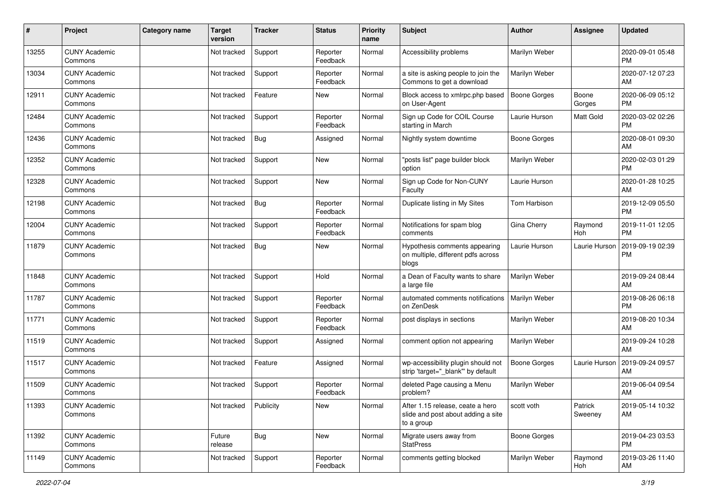| #     | Project                         | <b>Category name</b> | <b>Target</b><br>version | <b>Tracker</b> | <b>Status</b>        | Priority<br>name | <b>Subject</b>                                                                       | Author              | Assignee           | <b>Updated</b>                |
|-------|---------------------------------|----------------------|--------------------------|----------------|----------------------|------------------|--------------------------------------------------------------------------------------|---------------------|--------------------|-------------------------------|
| 13255 | <b>CUNY Academic</b><br>Commons |                      | Not tracked              | Support        | Reporter<br>Feedback | Normal           | Accessibility problems                                                               | Marilyn Weber       |                    | 2020-09-01 05:48<br><b>PM</b> |
| 13034 | <b>CUNY Academic</b><br>Commons |                      | Not tracked              | Support        | Reporter<br>Feedback | Normal           | a site is asking people to join the<br>Commons to get a download                     | Marilyn Weber       |                    | 2020-07-12 07:23<br>AM        |
| 12911 | <b>CUNY Academic</b><br>Commons |                      | Not tracked              | Feature        | New                  | Normal           | Block access to xmlrpc.php based<br>on User-Agent                                    | <b>Boone Gorges</b> | Boone<br>Gorges    | 2020-06-09 05:12<br><b>PM</b> |
| 12484 | <b>CUNY Academic</b><br>Commons |                      | Not tracked              | Support        | Reporter<br>Feedback | Normal           | Sign up Code for COIL Course<br>starting in March                                    | Laurie Hurson       | Matt Gold          | 2020-03-02 02:26<br><b>PM</b> |
| 12436 | <b>CUNY Academic</b><br>Commons |                      | Not tracked              | <b>Bug</b>     | Assigned             | Normal           | Nightly system downtime                                                              | Boone Gorges        |                    | 2020-08-01 09:30<br>AM        |
| 12352 | <b>CUNY Academic</b><br>Commons |                      | Not tracked              | Support        | New                  | Normal           | "posts list" page builder block<br>option                                            | Marilyn Weber       |                    | 2020-02-03 01:29<br><b>PM</b> |
| 12328 | <b>CUNY Academic</b><br>Commons |                      | Not tracked              | Support        | <b>New</b>           | Normal           | Sign up Code for Non-CUNY<br>Faculty                                                 | Laurie Hurson       |                    | 2020-01-28 10:25<br>AM        |
| 12198 | <b>CUNY Academic</b><br>Commons |                      | Not tracked              | <b>Bug</b>     | Reporter<br>Feedback | Normal           | Duplicate listing in My Sites                                                        | Tom Harbison        |                    | 2019-12-09 05:50<br><b>PM</b> |
| 12004 | <b>CUNY Academic</b><br>Commons |                      | Not tracked              | Support        | Reporter<br>Feedback | Normal           | Notifications for spam blog<br>comments                                              | Gina Cherry         | Raymond<br>Hoh     | 2019-11-01 12:05<br><b>PM</b> |
| 11879 | <b>CUNY Academic</b><br>Commons |                      | Not tracked              | <b>Bug</b>     | New                  | Normal           | Hypothesis comments appearing<br>on multiple, different pdfs across<br>blogs         | Laurie Hurson       | Laurie Hurson      | 2019-09-19 02:39<br><b>PM</b> |
| 11848 | <b>CUNY Academic</b><br>Commons |                      | Not tracked              | Support        | Hold                 | Normal           | a Dean of Faculty wants to share<br>a large file                                     | Marilyn Weber       |                    | 2019-09-24 08:44<br>AM        |
| 11787 | <b>CUNY Academic</b><br>Commons |                      | Not tracked              | Support        | Reporter<br>Feedback | Normal           | automated comments notifications<br>on ZenDesk                                       | Marilyn Weber       |                    | 2019-08-26 06:18<br><b>PM</b> |
| 11771 | <b>CUNY Academic</b><br>Commons |                      | Not tracked              | Support        | Reporter<br>Feedback | Normal           | post displays in sections                                                            | Marilyn Weber       |                    | 2019-08-20 10:34<br>AM        |
| 11519 | <b>CUNY Academic</b><br>Commons |                      | Not tracked              | Support        | Assigned             | Normal           | comment option not appearing                                                         | Marilyn Weber       |                    | 2019-09-24 10:28<br>AM        |
| 11517 | <b>CUNY Academic</b><br>Commons |                      | Not tracked              | Feature        | Assigned             | Normal           | wp-accessibility plugin should not<br>strip 'target="_blank" by default              | <b>Boone Gorges</b> | Laurie Hurson      | 2019-09-24 09:57<br>AM        |
| 11509 | <b>CUNY Academic</b><br>Commons |                      | Not tracked              | Support        | Reporter<br>Feedback | Normal           | deleted Page causing a Menu<br>problem?                                              | Marilyn Weber       |                    | 2019-06-04 09:54<br>AM        |
| 11393 | <b>CUNY Academic</b><br>Commons |                      | Not tracked              | Publicity      | New                  | Normal           | After 1.15 release, ceate a hero<br>slide and post about adding a site<br>to a group | scott voth          | Patrick<br>Sweeney | 2019-05-14 10:32<br>AM        |
| 11392 | <b>CUNY Academic</b><br>Commons |                      | Future<br>release        | <b>Bug</b>     | New                  | Normal           | Migrate users away from<br><b>StatPress</b>                                          | Boone Gorges        |                    | 2019-04-23 03:53<br><b>PM</b> |
| 11149 | <b>CUNY Academic</b><br>Commons |                      | Not tracked              | Support        | Reporter<br>Feedback | Normal           | comments getting blocked                                                             | Marilyn Weber       | Raymond<br>Hoh     | 2019-03-26 11:40<br>AM        |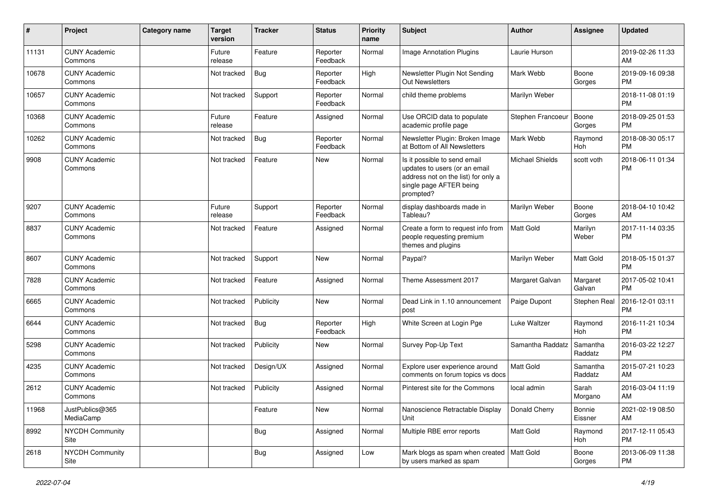| #     | Project                         | <b>Category name</b> | <b>Target</b><br>version | <b>Tracker</b> | <b>Status</b>        | <b>Priority</b><br>name | Subject                                                                                                                                      | Author            | Assignee            | <b>Updated</b>                |
|-------|---------------------------------|----------------------|--------------------------|----------------|----------------------|-------------------------|----------------------------------------------------------------------------------------------------------------------------------------------|-------------------|---------------------|-------------------------------|
| 11131 | <b>CUNY Academic</b><br>Commons |                      | Future<br>release        | Feature        | Reporter<br>Feedback | Normal                  | Image Annotation Plugins                                                                                                                     | Laurie Hurson     |                     | 2019-02-26 11:33<br>AM        |
| 10678 | <b>CUNY Academic</b><br>Commons |                      | Not tracked              | Bug            | Reporter<br>Feedback | High                    | Newsletter Plugin Not Sending<br>Out Newsletters                                                                                             | Mark Webb         | Boone<br>Gorges     | 2019-09-16 09:38<br><b>PM</b> |
| 10657 | <b>CUNY Academic</b><br>Commons |                      | Not tracked              | Support        | Reporter<br>Feedback | Normal                  | child theme problems                                                                                                                         | Marilyn Weber     |                     | 2018-11-08 01:19<br><b>PM</b> |
| 10368 | <b>CUNY Academic</b><br>Commons |                      | Future<br>release        | Feature        | Assigned             | Normal                  | Use ORCID data to populate<br>academic profile page                                                                                          | Stephen Francoeur | Boone<br>Gorges     | 2018-09-25 01:53<br><b>PM</b> |
| 10262 | <b>CUNY Academic</b><br>Commons |                      | Not tracked              | <b>Bug</b>     | Reporter<br>Feedback | Normal                  | Newsletter Plugin: Broken Image<br>at Bottom of All Newsletters                                                                              | Mark Webb         | Raymond<br>Hoh      | 2018-08-30 05:17<br><b>PM</b> |
| 9908  | <b>CUNY Academic</b><br>Commons |                      | Not tracked              | Feature        | New                  | Normal                  | Is it possible to send email<br>updates to users (or an email<br>address not on the list) for only a<br>single page AFTER being<br>prompted? | Michael Shields   | scott voth          | 2018-06-11 01:34<br><b>PM</b> |
| 9207  | <b>CUNY Academic</b><br>Commons |                      | Future<br>release        | Support        | Reporter<br>Feedback | Normal                  | display dashboards made in<br>Tableau?                                                                                                       | Marilyn Weber     | Boone<br>Gorges     | 2018-04-10 10:42<br>AM        |
| 8837  | <b>CUNY Academic</b><br>Commons |                      | Not tracked              | Feature        | Assigned             | Normal                  | Create a form to request info from<br>people requesting premium<br>themes and plugins                                                        | Matt Gold         | Marilyn<br>Weber    | 2017-11-14 03:35<br><b>PM</b> |
| 8607  | <b>CUNY Academic</b><br>Commons |                      | Not tracked              | Support        | <b>New</b>           | Normal                  | Paypal?                                                                                                                                      | Marilyn Weber     | Matt Gold           | 2018-05-15 01:37<br><b>PM</b> |
| 7828  | <b>CUNY Academic</b><br>Commons |                      | Not tracked              | Feature        | Assigned             | Normal                  | Theme Assessment 2017                                                                                                                        | Margaret Galvan   | Margaret<br>Galvan  | 2017-05-02 10:41<br><b>PM</b> |
| 6665  | <b>CUNY Academic</b><br>Commons |                      | Not tracked              | Publicity      | <b>New</b>           | Normal                  | Dead Link in 1.10 announcement<br>post                                                                                                       | Paige Dupont      | Stephen Real        | 2016-12-01 03:11<br><b>PM</b> |
| 6644  | <b>CUNY Academic</b><br>Commons |                      | Not tracked              | <b>Bug</b>     | Reporter<br>Feedback | High                    | White Screen at Login Pge                                                                                                                    | Luke Waltzer      | Raymond<br>Hoh      | 2016-11-21 10:34<br><b>PM</b> |
| 5298  | <b>CUNY Academic</b><br>Commons |                      | Not tracked              | Publicity      | <b>New</b>           | Normal                  | Survey Pop-Up Text                                                                                                                           | Samantha Raddatz  | Samantha<br>Raddatz | 2016-03-22 12:27<br><b>PM</b> |
| 4235  | <b>CUNY Academic</b><br>Commons |                      | Not tracked              | Design/UX      | Assigned             | Normal                  | Explore user experience around<br>comments on forum topics vs docs                                                                           | Matt Gold         | Samantha<br>Raddatz | 2015-07-21 10:23<br>AM        |
| 2612  | <b>CUNY Academic</b><br>Commons |                      | Not tracked              | Publicity      | Assigned             | Normal                  | Pinterest site for the Commons                                                                                                               | local admin       | Sarah<br>Morgano    | 2016-03-04 11:19<br>AM        |
| 11968 | JustPublics@365<br>MediaCamp    |                      |                          | Feature        | New                  | Normal                  | Nanoscience Retractable Display<br>Unit                                                                                                      | Donald Cherry     | Bonnie<br>Eissner   | 2021-02-19 08:50<br>AM        |
| 8992  | <b>NYCDH Community</b><br>Site  |                      |                          | <b>Bug</b>     | Assigned             | Normal                  | Multiple RBE error reports                                                                                                                   | Matt Gold         | Raymond<br>Hoh      | 2017-12-11 05:43<br><b>PM</b> |
| 2618  | NYCDH Community<br>Site         |                      |                          | <b>Bug</b>     | Assigned             | Low                     | Mark blogs as spam when created   Matt Gold<br>by users marked as spam                                                                       |                   | Boone<br>Gorges     | 2013-06-09 11:38<br>PM        |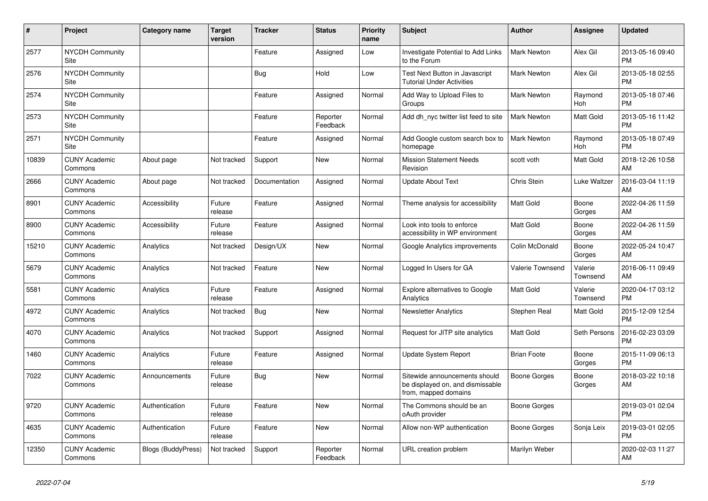| $\pmb{\sharp}$ | <b>Project</b>                  | Category name             | <b>Target</b><br>version | <b>Tracker</b> | <b>Status</b>        | <b>Priority</b><br>name | <b>Subject</b>                                                                            | <b>Author</b>      | Assignee            | <b>Updated</b>                |
|----------------|---------------------------------|---------------------------|--------------------------|----------------|----------------------|-------------------------|-------------------------------------------------------------------------------------------|--------------------|---------------------|-------------------------------|
| 2577           | <b>NYCDH Community</b><br>Site  |                           |                          | Feature        | Assigned             | Low                     | Investigate Potential to Add Links<br>to the Forum                                        | <b>Mark Newton</b> | Alex Gil            | 2013-05-16 09:40<br><b>PM</b> |
| 2576           | <b>NYCDH Community</b><br>Site  |                           |                          | Bug            | Hold                 | Low                     | Test Next Button in Javascript<br><b>Tutorial Under Activities</b>                        | <b>Mark Newton</b> | Alex Gil            | 2013-05-18 02:55<br><b>PM</b> |
| 2574           | <b>NYCDH Community</b><br>Site  |                           |                          | Feature        | Assigned             | Normal                  | Add Way to Upload Files to<br>Groups                                                      | Mark Newton        | Raymond<br>Hoh      | 2013-05-18 07:46<br><b>PM</b> |
| 2573           | <b>NYCDH Community</b><br>Site  |                           |                          | Feature        | Reporter<br>Feedback | Normal                  | Add dh nyc twitter list feed to site                                                      | <b>Mark Newton</b> | Matt Gold           | 2013-05-16 11:42<br><b>PM</b> |
| 2571           | <b>NYCDH Community</b><br>Site  |                           |                          | Feature        | Assigned             | Normal                  | Add Google custom search box to<br>homepage                                               | <b>Mark Newton</b> | Raymond<br>Hoh      | 2013-05-18 07:49<br><b>PM</b> |
| 10839          | <b>CUNY Academic</b><br>Commons | About page                | Not tracked              | Support        | New                  | Normal                  | <b>Mission Statement Needs</b><br>Revision                                                | scott voth         | Matt Gold           | 2018-12-26 10:58<br>AM        |
| 2666           | <b>CUNY Academic</b><br>Commons | About page                | Not tracked              | Documentation  | Assigned             | Normal                  | <b>Update About Text</b>                                                                  | Chris Stein        | Luke Waltzer        | 2016-03-04 11:19<br>AM        |
| 8901           | <b>CUNY Academic</b><br>Commons | Accessibility             | Future<br>release        | Feature        | Assigned             | Normal                  | Theme analysis for accessibility                                                          | <b>Matt Gold</b>   | Boone<br>Gorges     | 2022-04-26 11:59<br>AM        |
| 8900           | <b>CUNY Academic</b><br>Commons | Accessibility             | Future<br>release        | Feature        | Assigned             | Normal                  | Look into tools to enforce<br>accessibility in WP environment                             | <b>Matt Gold</b>   | Boone<br>Gorges     | 2022-04-26 11:59<br>AM        |
| 15210          | <b>CUNY Academic</b><br>Commons | Analytics                 | Not tracked              | Design/UX      | New                  | Normal                  | Google Analytics improvements                                                             | Colin McDonald     | Boone<br>Gorges     | 2022-05-24 10:47<br>AM        |
| 5679           | <b>CUNY Academic</b><br>Commons | Analytics                 | Not tracked              | Feature        | <b>New</b>           | Normal                  | Logged In Users for GA                                                                    | Valerie Townsend   | Valerie<br>Townsend | 2016-06-11 09:49<br>AM        |
| 5581           | <b>CUNY Academic</b><br>Commons | Analytics                 | Future<br>release        | Feature        | Assigned             | Normal                  | Explore alternatives to Google<br>Analytics                                               | <b>Matt Gold</b>   | Valerie<br>Townsend | 2020-04-17 03:12<br><b>PM</b> |
| 4972           | <b>CUNY Academic</b><br>Commons | Analytics                 | Not tracked              | Bug            | New                  | Normal                  | <b>Newsletter Analytics</b>                                                               | Stephen Real       | Matt Gold           | 2015-12-09 12:54<br><b>PM</b> |
| 4070           | <b>CUNY Academic</b><br>Commons | Analytics                 | Not tracked              | Support        | Assigned             | Normal                  | Request for JITP site analytics                                                           | <b>Matt Gold</b>   | Seth Persons        | 2016-02-23 03:09<br><b>PM</b> |
| 1460           | <b>CUNY Academic</b><br>Commons | Analytics                 | Future<br>release        | Feature        | Assigned             | Normal                  | <b>Update System Report</b>                                                               | <b>Brian Foote</b> | Boone<br>Gorges     | 2015-11-09 06:13<br><b>PM</b> |
| 7022           | <b>CUNY Academic</b><br>Commons | Announcements             | Future<br>release        | Bug            | New                  | Normal                  | Sitewide announcements should<br>be displayed on, and dismissable<br>from, mapped domains | Boone Gorges       | Boone<br>Gorges     | 2018-03-22 10:18<br>AM        |
| 9720           | <b>CUNY Academic</b><br>Commons | Authentication            | Future<br>release        | Feature        | <b>New</b>           | Normal                  | The Commons should be an<br>oAuth provider                                                | Boone Gorges       |                     | 2019-03-01 02:04<br><b>PM</b> |
| 4635           | <b>CUNY Academic</b><br>Commons | Authentication            | Future<br>release        | Feature        | New                  | Normal                  | Allow non-WP authentication                                                               | Boone Gorges       | Sonja Leix          | 2019-03-01 02:05<br><b>PM</b> |
| 12350          | <b>CUNY Academic</b><br>Commons | <b>Blogs (BuddyPress)</b> | Not tracked              | Support        | Reporter<br>Feedback | Normal                  | URL creation problem                                                                      | Marilyn Weber      |                     | 2020-02-03 11:27<br>AM        |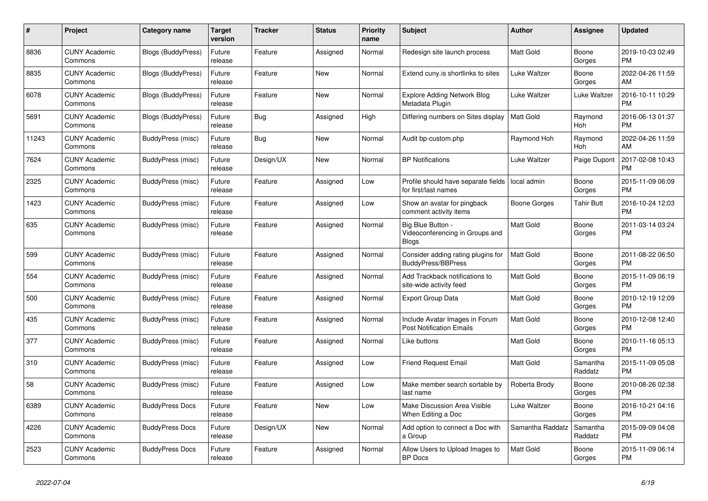| #     | Project                         | <b>Category name</b>      | <b>Target</b><br>version | <b>Tracker</b> | <b>Status</b> | Priority<br>name | <b>Subject</b>                                                       | <b>Author</b>    | <b>Assignee</b>     | <b>Updated</b>                |
|-------|---------------------------------|---------------------------|--------------------------|----------------|---------------|------------------|----------------------------------------------------------------------|------------------|---------------------|-------------------------------|
| 8836  | <b>CUNY Academic</b><br>Commons | <b>Blogs (BuddyPress)</b> | Future<br>release        | Feature        | Assigned      | Normal           | Redesign site launch process                                         | Matt Gold        | Boone<br>Gorges     | 2019-10-03 02:49<br><b>PM</b> |
| 8835  | <b>CUNY Academic</b><br>Commons | <b>Blogs (BuddyPress)</b> | Future<br>release        | Feature        | New           | Normal           | Extend cuny is shortlinks to sites                                   | Luke Waltzer     | Boone<br>Gorges     | 2022-04-26 11:59<br>AM        |
| 6078  | <b>CUNY Academic</b><br>Commons | <b>Blogs (BuddyPress)</b> | Future<br>release        | Feature        | <b>New</b>    | Normal           | Explore Adding Network Blog<br>Metadata Plugin                       | Luke Waltzer     | Luke Waltzer        | 2016-10-11 10:29<br><b>PM</b> |
| 5691  | <b>CUNY Academic</b><br>Commons | <b>Blogs (BuddyPress)</b> | Future<br>release        | Bug            | Assigned      | High             | Differing numbers on Sites display                                   | <b>Matt Gold</b> | Raymond<br>Hoh      | 2016-06-13 01:37<br><b>PM</b> |
| 11243 | <b>CUNY Academic</b><br>Commons | BuddyPress (misc)         | Future<br>release        | Bug            | New           | Normal           | Audit bp-custom.php                                                  | Raymond Hoh      | Raymond<br>Hoh      | 2022-04-26 11:59<br>AM        |
| 7624  | <b>CUNY Academic</b><br>Commons | BuddyPress (misc)         | Future<br>release        | Design/UX      | New           | Normal           | <b>BP Notifications</b>                                              | Luke Waltzer     | Paige Dupont        | 2017-02-08 10:43<br><b>PM</b> |
| 2325  | <b>CUNY Academic</b><br>Commons | BuddyPress (misc)         | Future<br>release        | Feature        | Assigned      | Low              | Profile should have separate fields<br>for first/last names          | local admin      | Boone<br>Gorges     | 2015-11-09 06:09<br><b>PM</b> |
| 1423  | <b>CUNY Academic</b><br>Commons | BuddyPress (misc)         | Future<br>release        | Feature        | Assigned      | Low              | Show an avatar for pingback<br>comment activity items                | Boone Gorges     | <b>Tahir Butt</b>   | 2016-10-24 12:03<br><b>PM</b> |
| 635   | <b>CUNY Academic</b><br>Commons | BuddyPress (misc)         | Future<br>release        | Feature        | Assigned      | Normal           | Big Blue Button -<br>Videoconferencing in Groups and<br><b>Blogs</b> | Matt Gold        | Boone<br>Gorges     | 2011-03-14 03:24<br><b>PM</b> |
| 599   | <b>CUNY Academic</b><br>Commons | BuddyPress (misc)         | Future<br>release        | Feature        | Assigned      | Normal           | Consider adding rating plugins for<br><b>BuddyPress/BBPress</b>      | <b>Matt Gold</b> | Boone<br>Gorges     | 2011-08-22 06:50<br><b>PM</b> |
| 554   | <b>CUNY Academic</b><br>Commons | <b>BuddyPress (misc)</b>  | Future<br>release        | Feature        | Assigned      | Normal           | Add Trackback notifications to<br>site-wide activity feed            | Matt Gold        | Boone<br>Gorges     | 2015-11-09 06:19<br><b>PM</b> |
| 500   | <b>CUNY Academic</b><br>Commons | BuddyPress (misc)         | Future<br>release        | Feature        | Assigned      | Normal           | <b>Export Group Data</b>                                             | <b>Matt Gold</b> | Boone<br>Gorges     | 2010-12-19 12:09<br><b>PM</b> |
| 435   | <b>CUNY Academic</b><br>Commons | BuddyPress (misc)         | Future<br>release        | Feature        | Assigned      | Normal           | Include Avatar Images in Forum<br><b>Post Notification Emails</b>    | <b>Matt Gold</b> | Boone<br>Gorges     | 2010-12-08 12:40<br><b>PM</b> |
| 377   | <b>CUNY Academic</b><br>Commons | BuddyPress (misc)         | Future<br>release        | Feature        | Assigned      | Normal           | Like buttons                                                         | Matt Gold        | Boone<br>Gorges     | 2010-11-16 05:13<br><b>PM</b> |
| 310   | <b>CUNY Academic</b><br>Commons | BuddyPress (misc)         | Future<br>release        | Feature        | Assigned      | Low              | <b>Friend Request Email</b>                                          | <b>Matt Gold</b> | Samantha<br>Raddatz | 2015-11-09 05:08<br><b>PM</b> |
| 58    | <b>CUNY Academic</b><br>Commons | BuddyPress (misc)         | Future<br>release        | Feature        | Assigned      | Low              | Make member search sortable by<br>last name                          | Roberta Brody    | Boone<br>Gorges     | 2010-08-26 02:38<br><b>PM</b> |
| 6389  | <b>CUNY Academic</b><br>Commons | <b>BuddyPress Docs</b>    | Future<br>release        | Feature        | <b>New</b>    | Low              | <b>Make Discussion Area Visible</b><br>When Editing a Doc            | Luke Waltzer     | Boone<br>Gorges     | 2016-10-21 04:16<br><b>PM</b> |
| 4226  | <b>CUNY Academic</b><br>Commons | <b>BuddyPress Docs</b>    | Future<br>release        | Design/UX      | New           | Normal           | Add option to connect a Doc with<br>a Group                          | Samantha Raddatz | Samantha<br>Raddatz | 2015-09-09 04:08<br><b>PM</b> |
| 2523  | <b>CUNY Academic</b><br>Commons | <b>BuddyPress Docs</b>    | Future<br>release        | Feature        | Assigned      | Normal           | Allow Users to Upload Images to<br><b>BP</b> Docs                    | <b>Matt Gold</b> | Boone<br>Gorges     | 2015-11-09 06:14<br><b>PM</b> |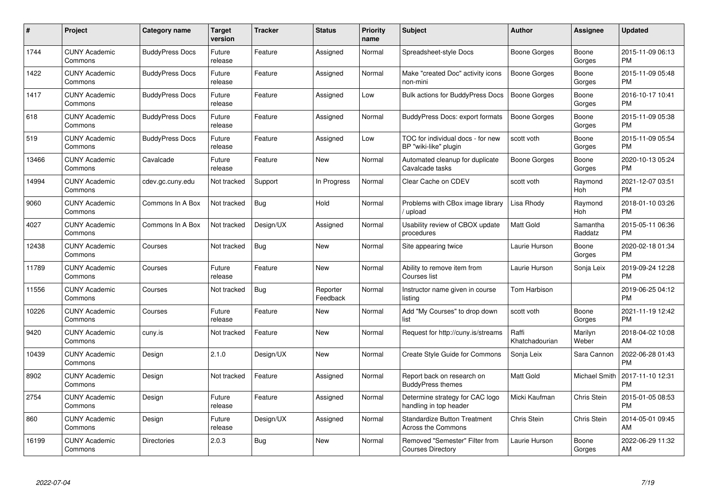| $\#$  | Project                         | <b>Category name</b>   | <b>Target</b><br>version | <b>Tracker</b> | <b>Status</b>        | Priority<br>name | <b>Subject</b>                                                   | <b>Author</b>           | <b>Assignee</b>     | <b>Updated</b>                |
|-------|---------------------------------|------------------------|--------------------------|----------------|----------------------|------------------|------------------------------------------------------------------|-------------------------|---------------------|-------------------------------|
| 1744  | <b>CUNY Academic</b><br>Commons | <b>BuddyPress Docs</b> | Future<br>release        | Feature        | Assigned             | Normal           | Spreadsheet-style Docs                                           | Boone Gorges            | Boone<br>Gorges     | 2015-11-09 06:13<br><b>PM</b> |
| 1422  | <b>CUNY Academic</b><br>Commons | <b>BuddyPress Docs</b> | Future<br>release        | Feature        | Assigned             | Normal           | Make "created Doc" activity icons<br>non-mini                    | Boone Gorges            | Boone<br>Gorges     | 2015-11-09 05:48<br><b>PM</b> |
| 1417  | <b>CUNY Academic</b><br>Commons | <b>BuddyPress Docs</b> | Future<br>release        | Feature        | Assigned             | Low              | <b>Bulk actions for BuddyPress Docs</b>                          | <b>Boone Gorges</b>     | Boone<br>Gorges     | 2016-10-17 10:41<br><b>PM</b> |
| 618   | <b>CUNY Academic</b><br>Commons | <b>BuddyPress Docs</b> | Future<br>release        | Feature        | Assigned             | Normal           | <b>BuddyPress Docs: export formats</b>                           | Boone Gorges            | Boone<br>Gorges     | 2015-11-09 05:38<br><b>PM</b> |
| 519   | <b>CUNY Academic</b><br>Commons | <b>BuddyPress Docs</b> | Future<br>release        | Feature        | Assigned             | Low              | TOC for individual docs - for new<br>BP "wiki-like" plugin       | scott voth              | Boone<br>Gorges     | 2015-11-09 05:54<br><b>PM</b> |
| 13466 | <b>CUNY Academic</b><br>Commons | Cavalcade              | Future<br>release        | Feature        | <b>New</b>           | Normal           | Automated cleanup for duplicate<br>Cavalcade tasks               | Boone Gorges            | Boone<br>Gorges     | 2020-10-13 05:24<br><b>PM</b> |
| 14994 | <b>CUNY Academic</b><br>Commons | cdev.gc.cuny.edu       | Not tracked              | Support        | In Progress          | Normal           | Clear Cache on CDEV                                              | scott voth              | Raymond<br>Hoh      | 2021-12-07 03:51<br><b>PM</b> |
| 9060  | <b>CUNY Academic</b><br>Commons | Commons In A Box       | Not tracked              | Bug            | Hold                 | Normal           | Problems with CBox image library<br>/ upload                     | Lisa Rhody              | Raymond<br>Hoh      | 2018-01-10 03:26<br><b>PM</b> |
| 4027  | <b>CUNY Academic</b><br>Commons | Commons In A Box       | Not tracked              | Design/UX      | Assigned             | Normal           | Usability review of CBOX update<br>procedures                    | Matt Gold               | Samantha<br>Raddatz | 2015-05-11 06:36<br><b>PM</b> |
| 12438 | <b>CUNY Academic</b><br>Commons | Courses                | Not tracked              | Bug            | <b>New</b>           | Normal           | Site appearing twice                                             | Laurie Hurson           | Boone<br>Gorges     | 2020-02-18 01:34<br><b>PM</b> |
| 11789 | <b>CUNY Academic</b><br>Commons | Courses                | Future<br>release        | Feature        | <b>New</b>           | Normal           | Ability to remove item from<br>Courses list                      | Laurie Hurson           | Sonja Leix          | 2019-09-24 12:28<br><b>PM</b> |
| 11556 | <b>CUNY Academic</b><br>Commons | Courses                | Not tracked              | <b>Bug</b>     | Reporter<br>Feedback | Normal           | Instructor name given in course<br>listing                       | Tom Harbison            |                     | 2019-06-25 04:12<br><b>PM</b> |
| 10226 | <b>CUNY Academic</b><br>Commons | Courses                | Future<br>release        | Feature        | <b>New</b>           | Normal           | Add "My Courses" to drop down<br>list                            | scott voth              | Boone<br>Gorges     | 2021-11-19 12:42<br><b>PM</b> |
| 9420  | <b>CUNY Academic</b><br>Commons | cuny.is                | Not tracked              | Feature        | <b>New</b>           | Normal           | Request for http://cuny.is/streams                               | Raffi<br>Khatchadourian | Marilyn<br>Weber    | 2018-04-02 10:08<br>AM        |
| 10439 | <b>CUNY Academic</b><br>Commons | Design                 | 2.1.0                    | Design/UX      | <b>New</b>           | Normal           | Create Style Guide for Commons                                   | Sonja Leix              | Sara Cannon         | 2022-06-28 01:43<br><b>PM</b> |
| 8902  | <b>CUNY Academic</b><br>Commons | Design                 | Not tracked              | Feature        | Assigned             | Normal           | Report back on research on<br><b>BuddyPress themes</b>           | Matt Gold               | Michael Smith       | 2017-11-10 12:31<br><b>PM</b> |
| 2754  | <b>CUNY Academic</b><br>Commons | Design                 | Future<br>release        | Feature        | Assigned             | Normal           | Determine strategy for CAC logo<br>handling in top header        | Micki Kaufman           | Chris Stein         | 2015-01-05 08:53<br><b>PM</b> |
| 860   | <b>CUNY Academic</b><br>Commons | Design                 | Future<br>release        | Design/UX      | Assigned             | Normal           | <b>Standardize Button Treatment</b><br><b>Across the Commons</b> | Chris Stein             | Chris Stein         | 2014-05-01 09:45<br>AM        |
| 16199 | <b>CUNY Academic</b><br>Commons | <b>Directories</b>     | 2.0.3                    | Bug            | New                  | Normal           | Removed "Semester" Filter from<br><b>Courses Directory</b>       | Laurie Hurson           | Boone<br>Gorges     | 2022-06-29 11:32<br>AM        |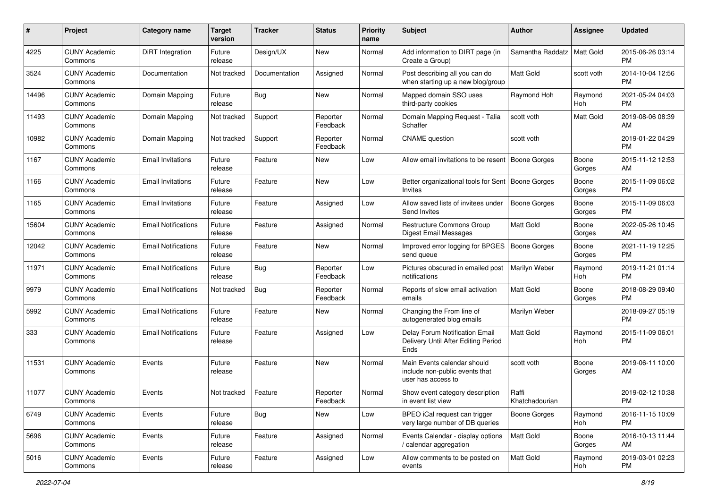| #     | Project                         | <b>Category name</b>       | <b>Target</b><br>version | <b>Tracker</b> | <b>Status</b>        | <b>Priority</b><br>name | <b>Subject</b>                                                                      | Author                  | Assignee         | <b>Updated</b>                |
|-------|---------------------------------|----------------------------|--------------------------|----------------|----------------------|-------------------------|-------------------------------------------------------------------------------------|-------------------------|------------------|-------------------------------|
| 4225  | <b>CUNY Academic</b><br>Commons | DiRT Integration           | Future<br>release        | Design/UX      | New                  | Normal                  | Add information to DIRT page (in<br>Create a Group)                                 | Samantha Raddatz        | <b>Matt Gold</b> | 2015-06-26 03:14<br><b>PM</b> |
| 3524  | <b>CUNY Academic</b><br>Commons | Documentation              | Not tracked              | Documentation  | Assigned             | Normal                  | Post describing all you can do<br>when starting up a new blog/group                 | <b>Matt Gold</b>        | scott voth       | 2014-10-04 12:56<br><b>PM</b> |
| 14496 | <b>CUNY Academic</b><br>Commons | Domain Mapping             | Future<br>release        | Bug            | New                  | Normal                  | Mapped domain SSO uses<br>third-party cookies                                       | Raymond Hoh             | Raymond<br>Hoh   | 2021-05-24 04:03<br><b>PM</b> |
| 11493 | <b>CUNY Academic</b><br>Commons | Domain Mapping             | Not tracked              | Support        | Reporter<br>Feedback | Normal                  | Domain Mapping Request - Talia<br>Schaffer                                          | scott voth              | <b>Matt Gold</b> | 2019-08-06 08:39<br>AM        |
| 10982 | <b>CUNY Academic</b><br>Commons | Domain Mapping             | Not tracked              | Support        | Reporter<br>Feedback | Normal                  | <b>CNAME</b> question                                                               | scott voth              |                  | 2019-01-22 04:29<br><b>PM</b> |
| 1167  | <b>CUNY Academic</b><br>Commons | <b>Email Invitations</b>   | Future<br>release        | Feature        | New                  | Low                     | Allow email invitations to be resent                                                | Boone Gorges            | Boone<br>Gorges  | 2015-11-12 12:53<br>AM        |
| 1166  | <b>CUNY Academic</b><br>Commons | <b>Email Invitations</b>   | Future<br>release        | Feature        | New                  | Low                     | Better organizational tools for Sent<br>Invites                                     | Boone Gorges            | Boone<br>Gorges  | 2015-11-09 06:02<br><b>PM</b> |
| 1165  | <b>CUNY Academic</b><br>Commons | <b>Email Invitations</b>   | Future<br>release        | Feature        | Assigned             | Low                     | Allow saved lists of invitees under<br>Send Invites                                 | <b>Boone Gorges</b>     | Boone<br>Gorges  | 2015-11-09 06:03<br>PM.       |
| 15604 | <b>CUNY Academic</b><br>Commons | <b>Email Notifications</b> | Future<br>release        | Feature        | Assigned             | Normal                  | Restructure Commons Group<br>Digest Email Messages                                  | <b>Matt Gold</b>        | Boone<br>Gorges  | 2022-05-26 10:45<br>AM        |
| 12042 | <b>CUNY Academic</b><br>Commons | <b>Email Notifications</b> | Future<br>release        | Feature        | New                  | Normal                  | Improved error logging for BPGES<br>send queue                                      | Boone Gorges            | Boone<br>Gorges  | 2021-11-19 12:25<br><b>PM</b> |
| 11971 | <b>CUNY Academic</b><br>Commons | <b>Email Notifications</b> | Future<br>release        | Bug            | Reporter<br>Feedback | Low                     | Pictures obscured in emailed post<br>notifications                                  | Marilyn Weber           | Raymond<br>Hoh   | 2019-11-21 01:14<br><b>PM</b> |
| 9979  | <b>CUNY Academic</b><br>Commons | <b>Email Notifications</b> | Not tracked              | Bug            | Reporter<br>Feedback | Normal                  | Reports of slow email activation<br>emails                                          | <b>Matt Gold</b>        | Boone<br>Gorges  | 2018-08-29 09:40<br><b>PM</b> |
| 5992  | <b>CUNY Academic</b><br>Commons | <b>Email Notifications</b> | Future<br>release        | Feature        | New                  | Normal                  | Changing the From line of<br>autogenerated blog emails                              | Marilyn Weber           |                  | 2018-09-27 05:19<br><b>PM</b> |
| 333   | <b>CUNY Academic</b><br>Commons | <b>Email Notifications</b> | Future<br>release        | Feature        | Assigned             | Low                     | Delay Forum Notification Email<br>Delivery Until After Editing Period<br>Ends       | <b>Matt Gold</b>        | Raymond<br>Hoh   | 2015-11-09 06:01<br><b>PM</b> |
| 11531 | <b>CUNY Academic</b><br>Commons | Events                     | Future<br>release        | Feature        | New                  | Normal                  | Main Events calendar should<br>include non-public events that<br>user has access to | scott voth              | Boone<br>Gorges  | 2019-06-11 10:00<br>AM        |
| 11077 | <b>CUNY Academic</b><br>Commons | Events                     | Not tracked              | Feature        | Reporter<br>Feedback | Normal                  | Show event category description<br>in event list view                               | Raffi<br>Khatchadourian |                  | 2019-02-12 10:38<br>PM        |
| 6749  | <b>CUNY Academic</b><br>Commons | Events                     | Future<br>release        | <b>Bug</b>     | New                  | Low                     | BPEO iCal request can trigger<br>very large number of DB queries                    | Boone Gorges            | Raymond<br>Hoh   | 2016-11-15 10:09<br><b>PM</b> |
| 5696  | <b>CUNY Academic</b><br>Commons | Events                     | Future<br>release        | Feature        | Assigned             | Normal                  | Events Calendar - display options<br>/ calendar aggregation                         | Matt Gold               | Boone<br>Gorges  | 2016-10-13 11:44<br>AM        |
| 5016  | <b>CUNY Academic</b><br>Commons | Events                     | Future<br>release        | Feature        | Assigned             | Low                     | Allow comments to be posted on<br>events                                            | Matt Gold               | Raymond<br>Hoh   | 2019-03-01 02:23<br><b>PM</b> |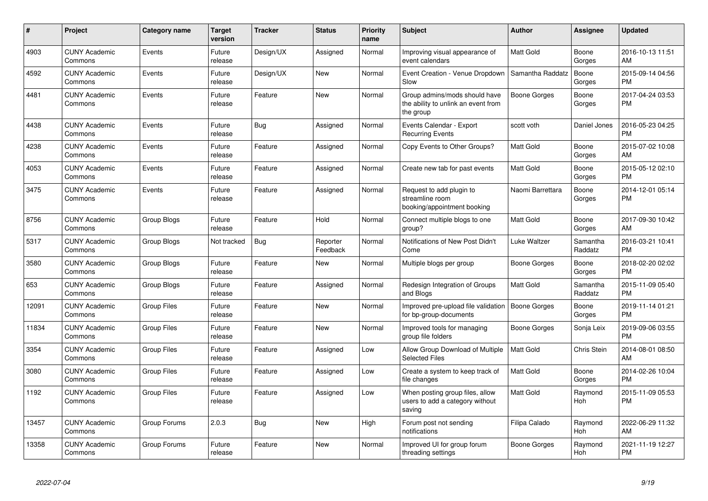| #     | Project                         | <b>Category name</b> | <b>Target</b><br>version | <b>Tracker</b> | <b>Status</b>        | <b>Priority</b><br>name | <b>Subject</b>                                                                    | <b>Author</b>    | Assignee            | <b>Updated</b>                |
|-------|---------------------------------|----------------------|--------------------------|----------------|----------------------|-------------------------|-----------------------------------------------------------------------------------|------------------|---------------------|-------------------------------|
| 4903  | <b>CUNY Academic</b><br>Commons | Events               | Future<br>release        | Design/UX      | Assigned             | Normal                  | Improving visual appearance of<br>event calendars                                 | Matt Gold        | Boone<br>Gorges     | 2016-10-13 11:51<br>AM        |
| 4592  | <b>CUNY Academic</b><br>Commons | Events               | Future<br>release        | Design/UX      | <b>New</b>           | Normal                  | Event Creation - Venue Dropdown<br>Slow                                           | Samantha Raddatz | Boone<br>Gorges     | 2015-09-14 04:56<br><b>PM</b> |
| 4481  | <b>CUNY Academic</b><br>Commons | Events               | Future<br>release        | Feature        | <b>New</b>           | Normal                  | Group admins/mods should have<br>the ability to unlink an event from<br>the group | Boone Gorges     | Boone<br>Gorges     | 2017-04-24 03:53<br><b>PM</b> |
| 4438  | <b>CUNY Academic</b><br>Commons | Events               | Future<br>release        | Bug            | Assigned             | Normal                  | Events Calendar - Export<br><b>Recurring Events</b>                               | scott voth       | Daniel Jones        | 2016-05-23 04:25<br><b>PM</b> |
| 4238  | <b>CUNY Academic</b><br>Commons | Events               | Future<br>release        | Feature        | Assigned             | Normal                  | Copy Events to Other Groups?                                                      | Matt Gold        | Boone<br>Gorges     | 2015-07-02 10:08<br>AM        |
| 4053  | <b>CUNY Academic</b><br>Commons | Events               | Future<br>release        | Feature        | Assigned             | Normal                  | Create new tab for past events                                                    | <b>Matt Gold</b> | Boone<br>Gorges     | 2015-05-12 02:10<br><b>PM</b> |
| 3475  | <b>CUNY Academic</b><br>Commons | Events               | Future<br>release        | Feature        | Assigned             | Normal                  | Request to add plugin to<br>streamline room<br>booking/appointment booking        | Naomi Barrettara | Boone<br>Gorges     | 2014-12-01 05:14<br><b>PM</b> |
| 8756  | <b>CUNY Academic</b><br>Commons | <b>Group Blogs</b>   | Future<br>release        | Feature        | Hold                 | Normal                  | Connect multiple blogs to one<br>group?                                           | <b>Matt Gold</b> | Boone<br>Gorges     | 2017-09-30 10:42<br>AM        |
| 5317  | <b>CUNY Academic</b><br>Commons | Group Blogs          | Not tracked              | Bug            | Reporter<br>Feedback | Normal                  | Notifications of New Post Didn't<br>Come                                          | Luke Waltzer     | Samantha<br>Raddatz | 2016-03-21 10:41<br><b>PM</b> |
| 3580  | <b>CUNY Academic</b><br>Commons | Group Blogs          | Future<br>release        | Feature        | New                  | Normal                  | Multiple blogs per group                                                          | Boone Gorges     | Boone<br>Gorges     | 2018-02-20 02:02<br><b>PM</b> |
| 653   | <b>CUNY Academic</b><br>Commons | Group Blogs          | Future<br>release        | Feature        | Assigned             | Normal                  | Redesign Integration of Groups<br>and Blogs                                       | <b>Matt Gold</b> | Samantha<br>Raddatz | 2015-11-09 05:40<br><b>PM</b> |
| 12091 | <b>CUNY Academic</b><br>Commons | <b>Group Files</b>   | Future<br>release        | Feature        | <b>New</b>           | Normal                  | Improved pre-upload file validation<br>for bp-group-documents                     | Boone Gorges     | Boone<br>Gorges     | 2019-11-14 01:21<br><b>PM</b> |
| 11834 | <b>CUNY Academic</b><br>Commons | <b>Group Files</b>   | Future<br>release        | Feature        | <b>New</b>           | Normal                  | Improved tools for managing<br>group file folders                                 | Boone Gorges     | Sonja Leix          | 2019-09-06 03:55<br><b>PM</b> |
| 3354  | <b>CUNY Academic</b><br>Commons | <b>Group Files</b>   | Future<br>release        | Feature        | Assigned             | Low                     | Allow Group Download of Multiple<br><b>Selected Files</b>                         | <b>Matt Gold</b> | Chris Stein         | 2014-08-01 08:50<br>AM        |
| 3080  | <b>CUNY Academic</b><br>Commons | Group Files          | Future<br>release        | Feature        | Assigned             | Low                     | Create a system to keep track of<br>file changes                                  | <b>Matt Gold</b> | Boone<br>Gorges     | 2014-02-26 10:04<br><b>PM</b> |
| 1192  | <b>CUNY Academic</b><br>Commons | Group Files          | Future<br>release        | Feature        | Assigned             | Low                     | When posting group files, allow<br>users to add a category without<br>saving      | <b>Matt Gold</b> | Raymond<br>Hoh      | 2015-11-09 05:53<br><b>PM</b> |
| 13457 | <b>CUNY Academic</b><br>Commons | Group Forums         | 2.0.3                    | <b>Bug</b>     | <b>New</b>           | High                    | Forum post not sending<br>notifications                                           | Filipa Calado    | Raymond<br>Hoh      | 2022-06-29 11:32<br>AM        |
| 13358 | <b>CUNY Academic</b><br>Commons | Group Forums         | Future<br>release        | Feature        | <b>New</b>           | Normal                  | Improved UI for group forum<br>threading settings                                 | Boone Gorges     | Raymond<br>Hoh      | 2021-11-19 12:27<br><b>PM</b> |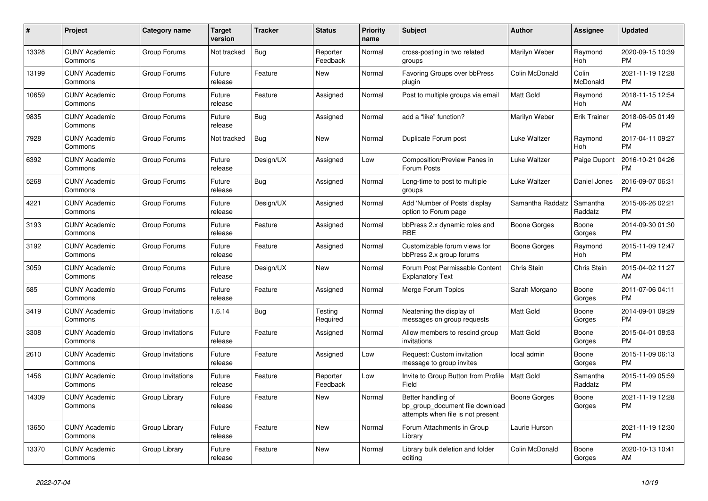| #     | Project                         | <b>Category name</b> | Target<br>version | <b>Tracker</b> | <b>Status</b>        | <b>Priority</b><br>name | <b>Subject</b>                                                                             | <b>Author</b>       | Assignee            | <b>Updated</b>                |
|-------|---------------------------------|----------------------|-------------------|----------------|----------------------|-------------------------|--------------------------------------------------------------------------------------------|---------------------|---------------------|-------------------------------|
| 13328 | <b>CUNY Academic</b><br>Commons | Group Forums         | Not tracked       | <b>Bug</b>     | Reporter<br>Feedback | Normal                  | cross-posting in two related<br>groups                                                     | Marilyn Weber       | Raymond<br>Hoh      | 2020-09-15 10:39<br><b>PM</b> |
| 13199 | <b>CUNY Academic</b><br>Commons | Group Forums         | Future<br>release | Feature        | New                  | Normal                  | <b>Favoring Groups over bbPress</b><br>plugin                                              | Colin McDonald      | Colin<br>McDonald   | 2021-11-19 12:28<br><b>PM</b> |
| 10659 | <b>CUNY Academic</b><br>Commons | Group Forums         | Future<br>release | Feature        | Assigned             | Normal                  | Post to multiple groups via email                                                          | Matt Gold           | Raymond<br>Hoh      | 2018-11-15 12:54<br>AM        |
| 9835  | <b>CUNY Academic</b><br>Commons | Group Forums         | Future<br>release | <b>Bug</b>     | Assigned             | Normal                  | add a "like" function?                                                                     | Marilyn Weber       | <b>Erik Trainer</b> | 2018-06-05 01:49<br><b>PM</b> |
| 7928  | <b>CUNY Academic</b><br>Commons | Group Forums         | Not tracked       | Bug            | New                  | Normal                  | Duplicate Forum post                                                                       | Luke Waltzer        | Raymond<br>Hoh      | 2017-04-11 09:27<br><b>PM</b> |
| 6392  | <b>CUNY Academic</b><br>Commons | Group Forums         | Future<br>release | Design/UX      | Assigned             | Low                     | <b>Composition/Preview Panes in</b><br>Forum Posts                                         | Luke Waltzer        | Paige Dupont        | 2016-10-21 04:26<br><b>PM</b> |
| 5268  | <b>CUNY Academic</b><br>Commons | Group Forums         | Future<br>release | Bug            | Assigned             | Normal                  | Long-time to post to multiple<br>groups                                                    | Luke Waltzer        | Daniel Jones        | 2016-09-07 06:31<br><b>PM</b> |
| 4221  | <b>CUNY Academic</b><br>Commons | Group Forums         | Future<br>release | Design/UX      | Assigned             | Normal                  | Add 'Number of Posts' display<br>option to Forum page                                      | Samantha Raddatz    | Samantha<br>Raddatz | 2015-06-26 02:21<br><b>PM</b> |
| 3193  | <b>CUNY Academic</b><br>Commons | Group Forums         | Future<br>release | Feature        | Assigned             | Normal                  | bbPress 2.x dynamic roles and<br><b>RBE</b>                                                | Boone Gorges        | Boone<br>Gorges     | 2014-09-30 01:30<br><b>PM</b> |
| 3192  | <b>CUNY Academic</b><br>Commons | Group Forums         | Future<br>release | Feature        | Assigned             | Normal                  | Customizable forum views for<br>bbPress 2.x group forums                                   | Boone Gorges        | Raymond<br>Hoh      | 2015-11-09 12:47<br><b>PM</b> |
| 3059  | <b>CUNY Academic</b><br>Commons | Group Forums         | Future<br>release | Design/UX      | New                  | Normal                  | Forum Post Permissable Content<br><b>Explanatory Text</b>                                  | Chris Stein         | Chris Stein         | 2015-04-02 11:27<br>AM        |
| 585   | <b>CUNY Academic</b><br>Commons | Group Forums         | Future<br>release | Feature        | Assigned             | Normal                  | Merge Forum Topics                                                                         | Sarah Morgano       | Boone<br>Gorges     | 2011-07-06 04:11<br><b>PM</b> |
| 3419  | <b>CUNY Academic</b><br>Commons | Group Invitations    | 1.6.14            | Bug            | Testing<br>Required  | Normal                  | Neatening the display of<br>messages on group requests                                     | Matt Gold           | Boone<br>Gorges     | 2014-09-01 09:29<br><b>PM</b> |
| 3308  | <b>CUNY Academic</b><br>Commons | Group Invitations    | Future<br>release | Feature        | Assigned             | Normal                  | Allow members to rescind group<br>invitations                                              | Matt Gold           | Boone<br>Gorges     | 2015-04-01 08:53<br><b>PM</b> |
| 2610  | <b>CUNY Academic</b><br>Commons | Group Invitations    | Future<br>release | Feature        | Assigned             | Low                     | Request: Custom invitation<br>message to group invites                                     | local admin         | Boone<br>Gorges     | 2015-11-09 06:13<br><b>PM</b> |
| 1456  | <b>CUNY Academic</b><br>Commons | Group Invitations    | Future<br>release | Feature        | Reporter<br>Feedback | Low                     | Invite to Group Button from Profile<br>Field                                               | <b>Matt Gold</b>    | Samantha<br>Raddatz | 2015-11-09 05:59<br><b>PM</b> |
| 14309 | <b>CUNY Academic</b><br>Commons | Group Library        | Future<br>release | Feature        | New                  | Normal                  | Better handling of<br>bp_group_document file download<br>attempts when file is not present | <b>Boone Gorges</b> | Boone<br>Gorges     | 2021-11-19 12:28<br><b>PM</b> |
| 13650 | <b>CUNY Academic</b><br>Commons | Group Library        | Future<br>release | Feature        | New                  | Normal                  | Forum Attachments in Group<br>Library                                                      | Laurie Hurson       |                     | 2021-11-19 12:30<br><b>PM</b> |
| 13370 | <b>CUNY Academic</b><br>Commons | Group Library        | Future<br>release | Feature        | <b>New</b>           | Normal                  | Library bulk deletion and folder<br>editing                                                | Colin McDonald      | Boone<br>Gorges     | 2020-10-13 10:41<br>AM        |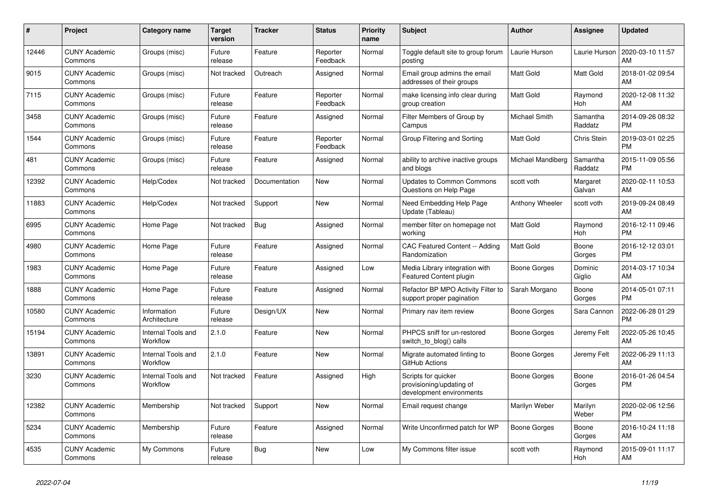| #     | Project                         | <b>Category name</b>           | <b>Target</b><br>version | <b>Tracker</b> | <b>Status</b>        | <b>Priority</b><br>name | <b>Subject</b>                                                              | <b>Author</b>          | Assignee            | <b>Updated</b>                |
|-------|---------------------------------|--------------------------------|--------------------------|----------------|----------------------|-------------------------|-----------------------------------------------------------------------------|------------------------|---------------------|-------------------------------|
| 12446 | <b>CUNY Academic</b><br>Commons | Groups (misc)                  | Future<br>release        | Feature        | Reporter<br>Feedback | Normal                  | Toggle default site to group forum<br>posting                               | Laurie Hurson          | Laurie Hurson       | 2020-03-10 11:57<br>AM        |
| 9015  | <b>CUNY Academic</b><br>Commons | Groups (misc)                  | Not tracked              | Outreach       | Assigned             | Normal                  | Email group admins the email<br>addresses of their groups                   | Matt Gold              | Matt Gold           | 2018-01-02 09:54<br>AM        |
| 7115  | <b>CUNY Academic</b><br>Commons | Groups (misc)                  | Future<br>release        | Feature        | Reporter<br>Feedback | Normal                  | make licensing info clear during<br>group creation                          | <b>Matt Gold</b>       | Raymond<br>Hoh      | 2020-12-08 11:32<br>AM        |
| 3458  | <b>CUNY Academic</b><br>Commons | Groups (misc)                  | Future<br>release        | Feature        | Assigned             | Normal                  | Filter Members of Group by<br>Campus                                        | Michael Smith          | Samantha<br>Raddatz | 2014-09-26 08:32<br><b>PM</b> |
| 1544  | <b>CUNY Academic</b><br>Commons | Groups (misc)                  | Future<br>release        | Feature        | Reporter<br>Feedback | Normal                  | Group Filtering and Sorting                                                 | Matt Gold              | <b>Chris Stein</b>  | 2019-03-01 02:25<br><b>PM</b> |
| 481   | <b>CUNY Academic</b><br>Commons | Groups (misc)                  | Future<br>release        | Feature        | Assigned             | Normal                  | ability to archive inactive groups<br>and blogs                             | Michael Mandiberg      | Samantha<br>Raddatz | 2015-11-09 05:56<br><b>PM</b> |
| 12392 | <b>CUNY Academic</b><br>Commons | Help/Codex                     | Not tracked              | Documentation  | <b>New</b>           | Normal                  | <b>Updates to Common Commons</b><br>Questions on Help Page                  | scott voth             | Margaret<br>Galvan  | 2020-02-11 10:53<br>AM        |
| 11883 | <b>CUNY Academic</b><br>Commons | Help/Codex                     | Not tracked              | Support        | <b>New</b>           | Normal                  | Need Embedding Help Page<br>Update (Tableau)                                | <b>Anthony Wheeler</b> | scott voth          | 2019-09-24 08:49<br>AM        |
| 6995  | <b>CUNY Academic</b><br>Commons | Home Page                      | Not tracked              | Bug            | Assigned             | Normal                  | member filter on homepage not<br>working                                    | <b>Matt Gold</b>       | Raymond<br>Hoh      | 2016-12-11 09:46<br><b>PM</b> |
| 4980  | <b>CUNY Academic</b><br>Commons | Home Page                      | Future<br>release        | Feature        | Assigned             | Normal                  | CAC Featured Content -- Adding<br>Randomization                             | <b>Matt Gold</b>       | Boone<br>Gorges     | 2016-12-12 03:01<br><b>PM</b> |
| 1983  | <b>CUNY Academic</b><br>Commons | Home Page                      | Future<br>release        | Feature        | Assigned             | Low                     | Media Library integration with<br><b>Featured Content plugin</b>            | Boone Gorges           | Dominic<br>Giglio   | 2014-03-17 10:34<br>AM        |
| 1888  | <b>CUNY Academic</b><br>Commons | Home Page                      | Future<br>release        | Feature        | Assigned             | Normal                  | Refactor BP MPO Activity Filter to<br>support proper pagination             | Sarah Morgano          | Boone<br>Gorges     | 2014-05-01 07:11<br><b>PM</b> |
| 10580 | <b>CUNY Academic</b><br>Commons | Information<br>Architecture    | Future<br>release        | Design/UX      | New                  | Normal                  | Primary nav item review                                                     | Boone Gorges           | Sara Cannon         | 2022-06-28 01:29<br><b>PM</b> |
| 15194 | <b>CUNY Academic</b><br>Commons | Internal Tools and<br>Workflow | 2.1.0                    | Feature        | <b>New</b>           | Normal                  | PHPCS sniff for un-restored<br>switch to blog() calls                       | Boone Gorges           | Jeremy Felt         | 2022-05-26 10:45<br>AM        |
| 13891 | <b>CUNY Academic</b><br>Commons | Internal Tools and<br>Workflow | 2.1.0                    | Feature        | <b>New</b>           | Normal                  | Migrate automated linting to<br>GitHub Actions                              | Boone Gorges           | Jeremy Felt         | 2022-06-29 11:13<br>AM        |
| 3230  | <b>CUNY Academic</b><br>Commons | Internal Tools and<br>Workflow | Not tracked              | Feature        | Assigned             | High                    | Scripts for quicker<br>provisioning/updating of<br>development environments | Boone Gorges           | Boone<br>Gorges     | 2016-01-26 04:54<br><b>PM</b> |
| 12382 | <b>CUNY Academic</b><br>Commons | Membership                     | Not tracked              | Support        | <b>New</b>           | Normal                  | Email request change                                                        | Marilyn Weber          | Marilyn<br>Weber    | 2020-02-06 12:56<br><b>PM</b> |
| 5234  | <b>CUNY Academic</b><br>Commons | Membership                     | Future<br>release        | Feature        | Assigned             | Normal                  | Write Unconfirmed patch for WP                                              | Boone Gorges           | Boone<br>Gorges     | 2016-10-24 11:18<br>AM        |
| 4535  | <b>CUNY Academic</b><br>Commons | My Commons                     | Future<br>release        | <b>Bug</b>     | <b>New</b>           | Low                     | My Commons filter issue                                                     | scott voth             | Raymond<br>Hoh      | 2015-09-01 11:17<br>AM        |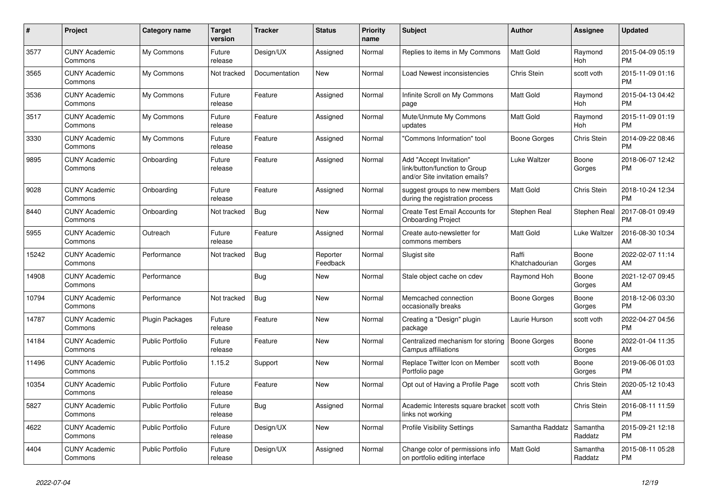| $\#$  | Project                         | <b>Category name</b>    | <b>Target</b><br>version | <b>Tracker</b> | <b>Status</b>        | <b>Priority</b><br>name | <b>Subject</b>                                                                             | <b>Author</b>           | <b>Assignee</b>     | <b>Updated</b>                |
|-------|---------------------------------|-------------------------|--------------------------|----------------|----------------------|-------------------------|--------------------------------------------------------------------------------------------|-------------------------|---------------------|-------------------------------|
| 3577  | <b>CUNY Academic</b><br>Commons | My Commons              | Future<br>release        | Design/UX      | Assigned             | Normal                  | Replies to items in My Commons                                                             | <b>Matt Gold</b>        | Raymond<br>Hoh      | 2015-04-09 05:19<br><b>PM</b> |
| 3565  | <b>CUNY Academic</b><br>Commons | My Commons              | Not tracked              | Documentation  | New                  | Normal                  | Load Newest inconsistencies                                                                | Chris Stein             | scott voth          | 2015-11-09 01:16<br><b>PM</b> |
| 3536  | <b>CUNY Academic</b><br>Commons | My Commons              | Future<br>release        | Feature        | Assigned             | Normal                  | Infinite Scroll on My Commons<br>page                                                      | Matt Gold               | Raymond<br>Hoh      | 2015-04-13 04:42<br><b>PM</b> |
| 3517  | <b>CUNY Academic</b><br>Commons | My Commons              | Future<br>release        | Feature        | Assigned             | Normal                  | Mute/Unmute My Commons<br>updates                                                          | Matt Gold               | Raymond<br>Hoh      | 2015-11-09 01:19<br><b>PM</b> |
| 3330  | <b>CUNY Academic</b><br>Commons | My Commons              | Future<br>release        | Feature        | Assigned             | Normal                  | "Commons Information" tool                                                                 | Boone Gorges            | Chris Stein         | 2014-09-22 08:46<br><b>PM</b> |
| 9895  | <b>CUNY Academic</b><br>Commons | Onboarding              | Future<br>release        | Feature        | Assigned             | Normal                  | Add "Accept Invitation"<br>link/button/function to Group<br>and/or Site invitation emails? | Luke Waltzer            | Boone<br>Gorges     | 2018-06-07 12:42<br><b>PM</b> |
| 9028  | <b>CUNY Academic</b><br>Commons | Onboarding              | Future<br>release        | Feature        | Assigned             | Normal                  | suggest groups to new members<br>during the registration process                           | Matt Gold               | Chris Stein         | 2018-10-24 12:34<br><b>PM</b> |
| 8440  | <b>CUNY Academic</b><br>Commons | Onboarding              | Not tracked              | Bug            | New                  | Normal                  | Create Test Email Accounts for<br><b>Onboarding Project</b>                                | Stephen Real            | Stephen Real        | 2017-08-01 09:49<br><b>PM</b> |
| 5955  | <b>CUNY Academic</b><br>Commons | Outreach                | Future<br>release        | Feature        | Assigned             | Normal                  | Create auto-newsletter for<br>commons members                                              | Matt Gold               | Luke Waltzer        | 2016-08-30 10:34<br>AM        |
| 15242 | <b>CUNY Academic</b><br>Commons | Performance             | Not tracked              | <b>Bug</b>     | Reporter<br>Feedback | Normal                  | Slugist site                                                                               | Raffi<br>Khatchadourian | Boone<br>Gorges     | 2022-02-07 11:14<br>AM        |
| 14908 | <b>CUNY Academic</b><br>Commons | Performance             |                          | Bug            | New                  | Normal                  | Stale object cache on cdev                                                                 | Raymond Hoh             | Boone<br>Gorges     | 2021-12-07 09:45<br>AM        |
| 10794 | <b>CUNY Academic</b><br>Commons | Performance             | Not tracked              | <b>Bug</b>     | <b>New</b>           | Normal                  | Memcached connection<br>occasionally breaks                                                | Boone Gorges            | Boone<br>Gorges     | 2018-12-06 03:30<br><b>PM</b> |
| 14787 | <b>CUNY Academic</b><br>Commons | Plugin Packages         | Future<br>release        | Feature        | <b>New</b>           | Normal                  | Creating a "Design" plugin<br>package                                                      | Laurie Hurson           | scott voth          | 2022-04-27 04:56<br><b>PM</b> |
| 14184 | <b>CUNY Academic</b><br>Commons | Public Portfolio        | Future<br>release        | Feature        | New                  | Normal                  | Centralized mechanism for storing<br>Campus affiliations                                   | Boone Gorges            | Boone<br>Gorges     | 2022-01-04 11:35<br>AM        |
| 11496 | <b>CUNY Academic</b><br>Commons | <b>Public Portfolio</b> | 1.15.2                   | Support        | New                  | Normal                  | Replace Twitter Icon on Member<br>Portfolio page                                           | scott voth              | Boone<br>Gorges     | 2019-06-06 01:03<br><b>PM</b> |
| 10354 | <b>CUNY Academic</b><br>Commons | <b>Public Portfolio</b> | Future<br>release        | Feature        | New                  | Normal                  | Opt out of Having a Profile Page                                                           | scott voth              | Chris Stein         | 2020-05-12 10:43<br>AM        |
| 5827  | <b>CUNY Academic</b><br>Commons | <b>Public Portfolio</b> | Future<br>release        | Bug            | Assigned             | Normal                  | Academic Interests square bracket   scott voth<br>links not working                        |                         | Chris Stein         | 2016-08-11 11:59<br><b>PM</b> |
| 4622  | <b>CUNY Academic</b><br>Commons | <b>Public Portfolio</b> | Future<br>release        | Design/UX      | New                  | Normal                  | <b>Profile Visibility Settings</b>                                                         | Samantha Raddatz        | Samantha<br>Raddatz | 2015-09-21 12:18<br><b>PM</b> |
| 4404  | <b>CUNY Academic</b><br>Commons | Public Portfolio        | Future<br>release        | Design/UX      | Assigned             | Normal                  | Change color of permissions info<br>on portfolio editing interface                         | <b>Matt Gold</b>        | Samantha<br>Raddatz | 2015-08-11 05:28<br><b>PM</b> |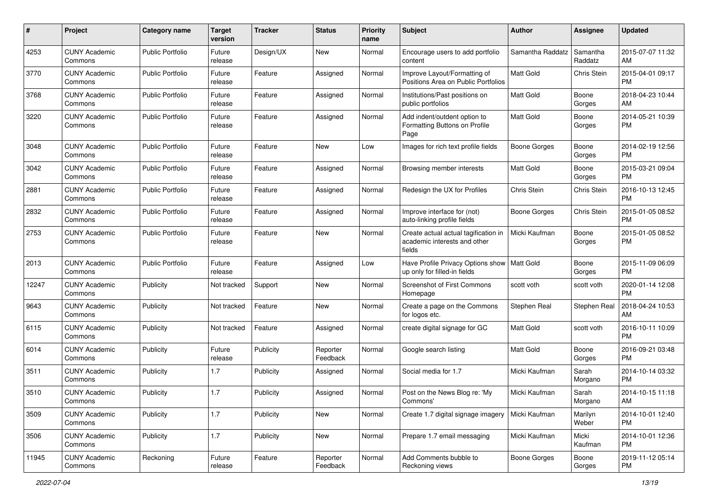| #     | Project                         | <b>Category name</b>    | <b>Target</b><br>version | <b>Tracker</b> | <b>Status</b>        | <b>Priority</b><br>name | <b>Subject</b>                                                                 | Author              | <b>Assignee</b>     | <b>Updated</b>                |
|-------|---------------------------------|-------------------------|--------------------------|----------------|----------------------|-------------------------|--------------------------------------------------------------------------------|---------------------|---------------------|-------------------------------|
| 4253  | <b>CUNY Academic</b><br>Commons | <b>Public Portfolio</b> | Future<br>release        | Design/UX      | New                  | Normal                  | Encourage users to add portfolio<br>content                                    | Samantha Raddatz    | Samantha<br>Raddatz | 2015-07-07 11:32<br>AM        |
| 3770  | <b>CUNY Academic</b><br>Commons | <b>Public Portfolio</b> | Future<br>release        | Feature        | Assigned             | Normal                  | Improve Layout/Formatting of<br>Positions Area on Public Portfolios            | Matt Gold           | Chris Stein         | 2015-04-01 09:17<br><b>PM</b> |
| 3768  | <b>CUNY Academic</b><br>Commons | <b>Public Portfolio</b> | Future<br>release        | Feature        | Assigned             | Normal                  | Institutions/Past positions on<br>public portfolios                            | Matt Gold           | Boone<br>Gorges     | 2018-04-23 10:44<br>AM        |
| 3220  | <b>CUNY Academic</b><br>Commons | <b>Public Portfolio</b> | Future<br>release        | Feature        | Assigned             | Normal                  | Add indent/outdent option to<br>Formatting Buttons on Profile<br>Page          | <b>Matt Gold</b>    | Boone<br>Gorges     | 2014-05-21 10:39<br>PM        |
| 3048  | <b>CUNY Academic</b><br>Commons | <b>Public Portfolio</b> | Future<br>release        | Feature        | New                  | Low                     | Images for rich text profile fields                                            | Boone Gorges        | Boone<br>Gorges     | 2014-02-19 12:56<br>PM.       |
| 3042  | <b>CUNY Academic</b><br>Commons | <b>Public Portfolio</b> | Future<br>release        | Feature        | Assigned             | Normal                  | Browsing member interests                                                      | Matt Gold           | Boone<br>Gorges     | 2015-03-21 09:04<br><b>PM</b> |
| 2881  | <b>CUNY Academic</b><br>Commons | <b>Public Portfolio</b> | Future<br>release        | Feature        | Assigned             | Normal                  | Redesign the UX for Profiles                                                   | Chris Stein         | Chris Stein         | 2016-10-13 12:45<br><b>PM</b> |
| 2832  | <b>CUNY Academic</b><br>Commons | <b>Public Portfolio</b> | Future<br>release        | Feature        | Assigned             | Normal                  | Improve interface for (not)<br>auto-linking profile fields                     | Boone Gorges        | Chris Stein         | 2015-01-05 08:52<br><b>PM</b> |
| 2753  | <b>CUNY Academic</b><br>Commons | <b>Public Portfolio</b> | Future<br>release        | Feature        | New                  | Normal                  | Create actual actual tagification in<br>academic interests and other<br>fields | Micki Kaufman       | Boone<br>Gorges     | 2015-01-05 08:52<br>PM.       |
| 2013  | <b>CUNY Academic</b><br>Commons | Public Portfolio        | Future<br>release        | Feature        | Assigned             | Low                     | Have Profile Privacy Options show   Matt Gold<br>up only for filled-in fields  |                     | Boone<br>Gorges     | 2015-11-09 06:09<br>PM.       |
| 12247 | <b>CUNY Academic</b><br>Commons | Publicity               | Not tracked              | Support        | New                  | Normal                  | Screenshot of First Commons<br>Homepage                                        | scott voth          | scott voth          | 2020-01-14 12:08<br><b>PM</b> |
| 9643  | <b>CUNY Academic</b><br>Commons | Publicity               | Not tracked              | Feature        | New                  | Normal                  | Create a page on the Commons<br>for logos etc.                                 | Stephen Real        | Stephen Real        | 2018-04-24 10:53<br>AM.       |
| 6115  | <b>CUNY Academic</b><br>Commons | Publicity               | Not tracked              | Feature        | Assigned             | Normal                  | create digital signage for GC                                                  | <b>Matt Gold</b>    | scott voth          | 2016-10-11 10:09<br>PM.       |
| 6014  | <b>CUNY Academic</b><br>Commons | Publicity               | Future<br>release        | Publicity      | Reporter<br>Feedback | Normal                  | Google search listing                                                          | Matt Gold           | Boone<br>Gorges     | 2016-09-21 03:48<br><b>PM</b> |
| 3511  | <b>CUNY Academic</b><br>Commons | Publicity               | 1.7                      | Publicity      | Assigned             | Normal                  | Social media for 1.7                                                           | Micki Kaufman       | Sarah<br>Morgano    | 2014-10-14 03:32<br><b>PM</b> |
| 3510  | <b>CUNY Academic</b><br>Commons | Publicity               | 1.7                      | Publicity      | Assigned             | Normal                  | Post on the News Blog re: 'My<br>Commons'                                      | Micki Kaufman       | Sarah<br>Morgano    | 2014-10-15 11:18<br>AM        |
| 3509  | <b>CUNY Academic</b><br>Commons | Publicity               | 1.7                      | Publicity      | New                  | Normal                  | Create 1.7 digital signage imagery                                             | Micki Kaufman       | Marilyn<br>Weber    | 2014-10-01 12:40<br>PM.       |
| 3506  | <b>CUNY Academic</b><br>Commons | Publicity               | 1.7                      | Publicity      | New                  | Normal                  | Prepare 1.7 email messaging                                                    | Micki Kaufman       | Micki<br>Kaufman    | 2014-10-01 12:36<br><b>PM</b> |
| 11945 | <b>CUNY Academic</b><br>Commons | Reckoning               | Future<br>release        | Feature        | Reporter<br>Feedback | Normal                  | Add Comments bubble to<br>Reckoning views                                      | <b>Boone Gorges</b> | Boone<br>Gorges     | 2019-11-12 05:14<br><b>PM</b> |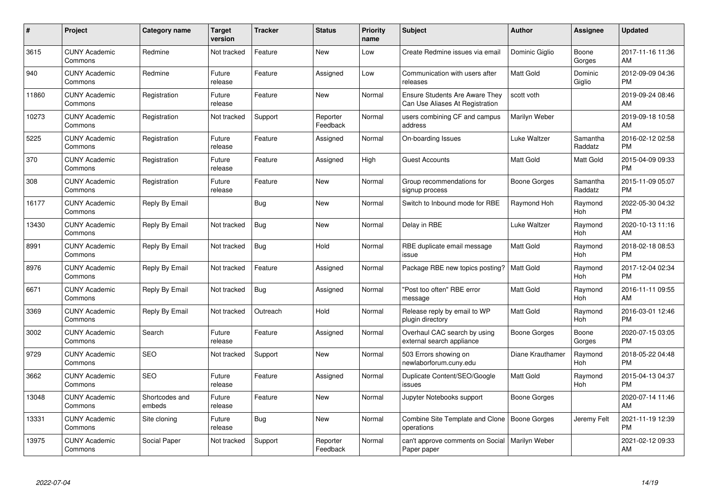| $\#$  | Project                         | <b>Category name</b>     | <b>Target</b><br>version | <b>Tracker</b> | <b>Status</b>        | Priority<br>name | <b>Subject</b>                                                    | <b>Author</b>       | <b>Assignee</b>     | <b>Updated</b>                |
|-------|---------------------------------|--------------------------|--------------------------|----------------|----------------------|------------------|-------------------------------------------------------------------|---------------------|---------------------|-------------------------------|
| 3615  | <b>CUNY Academic</b><br>Commons | Redmine                  | Not tracked              | Feature        | <b>New</b>           | Low              | Create Redmine issues via email                                   | Dominic Giglio      | Boone<br>Gorges     | 2017-11-16 11:36<br>AM        |
| 940   | <b>CUNY Academic</b><br>Commons | Redmine                  | Future<br>release        | Feature        | Assigned             | Low              | Communication with users after<br>releases                        | <b>Matt Gold</b>    | Dominic<br>Giglio   | 2012-09-09 04:36<br><b>PM</b> |
| 11860 | <b>CUNY Academic</b><br>Commons | Registration             | Future<br>release        | Feature        | <b>New</b>           | Normal           | Ensure Students Are Aware They<br>Can Use Aliases At Registration | scott voth          |                     | 2019-09-24 08:46<br>AM        |
| 10273 | <b>CUNY Academic</b><br>Commons | Registration             | Not tracked              | Support        | Reporter<br>Feedback | Normal           | users combining CF and campus<br>address                          | Marilyn Weber       |                     | 2019-09-18 10:58<br>AM        |
| 5225  | <b>CUNY Academic</b><br>Commons | Registration             | Future<br>release        | Feature        | Assigned             | Normal           | On-boarding Issues                                                | Luke Waltzer        | Samantha<br>Raddatz | 2016-02-12 02:58<br><b>PM</b> |
| 370   | <b>CUNY Academic</b><br>Commons | Registration             | Future<br>release        | Feature        | Assigned             | High             | <b>Guest Accounts</b>                                             | <b>Matt Gold</b>    | Matt Gold           | 2015-04-09 09:33<br><b>PM</b> |
| 308   | <b>CUNY Academic</b><br>Commons | Registration             | Future<br>release        | Feature        | <b>New</b>           | Normal           | Group recommendations for<br>signup process                       | Boone Gorges        | Samantha<br>Raddatz | 2015-11-09 05:07<br><b>PM</b> |
| 16177 | <b>CUNY Academic</b><br>Commons | Reply By Email           |                          | Bug            | New                  | Normal           | Switch to Inbound mode for RBE                                    | Raymond Hoh         | Raymond<br>Hoh      | 2022-05-30 04:32<br><b>PM</b> |
| 13430 | <b>CUNY Academic</b><br>Commons | Reply By Email           | Not tracked              | <b>Bug</b>     | <b>New</b>           | Normal           | Delay in RBE                                                      | Luke Waltzer        | Raymond<br>Hoh      | 2020-10-13 11:16<br>AM        |
| 8991  | <b>CUNY Academic</b><br>Commons | Reply By Email           | Not tracked              | Bug            | Hold                 | Normal           | RBE duplicate email message<br>issue                              | <b>Matt Gold</b>    | Raymond<br>Hoh      | 2018-02-18 08:53<br><b>PM</b> |
| 8976  | <b>CUNY Academic</b><br>Commons | Reply By Email           | Not tracked              | Feature        | Assigned             | Normal           | Package RBE new topics posting?                                   | <b>Matt Gold</b>    | Raymond<br>Hoh      | 2017-12-04 02:34<br><b>PM</b> |
| 6671  | <b>CUNY Academic</b><br>Commons | Reply By Email           | Not tracked              | Bug            | Assigned             | Normal           | "Post too often" RBE error<br>message                             | Matt Gold           | Raymond<br>Hoh      | 2016-11-11 09:55<br>AM        |
| 3369  | <b>CUNY Academic</b><br>Commons | Reply By Email           | Not tracked              | Outreach       | Hold                 | Normal           | Release reply by email to WP<br>plugin directory                  | Matt Gold           | Raymond<br>Hoh      | 2016-03-01 12:46<br><b>PM</b> |
| 3002  | <b>CUNY Academic</b><br>Commons | Search                   | Future<br>release        | Feature        | Assigned             | Normal           | Overhaul CAC search by using<br>external search appliance         | <b>Boone Gorges</b> | Boone<br>Gorges     | 2020-07-15 03:05<br><b>PM</b> |
| 9729  | <b>CUNY Academic</b><br>Commons | <b>SEO</b>               | Not tracked              | Support        | New                  | Normal           | 503 Errors showing on<br>newlaborforum.cuny.edu                   | Diane Krauthamer    | Raymond<br>Hoh      | 2018-05-22 04:48<br><b>PM</b> |
| 3662  | <b>CUNY Academic</b><br>Commons | <b>SEO</b>               | Future<br>release        | Feature        | Assigned             | Normal           | Duplicate Content/SEO/Google<br>issues                            | Matt Gold           | Raymond<br>Hoh      | 2015-04-13 04:37<br><b>PM</b> |
| 13048 | <b>CUNY Academic</b><br>Commons | Shortcodes and<br>embeds | Future<br>release        | Feature        | New                  | Normal           | Jupyter Notebooks support                                         | Boone Gorges        |                     | 2020-07-14 11:46<br>AM        |
| 13331 | <b>CUNY Academic</b><br>Commons | Site cloning             | Future<br>release        | Bug            | New                  | Normal           | Combine Site Template and Clone<br>operations                     | Boone Gorges        | Jeremy Felt         | 2021-11-19 12:39<br><b>PM</b> |
| 13975 | <b>CUNY Academic</b><br>Commons | Social Paper             | Not tracked              | Support        | Reporter<br>Feedback | Normal           | can't approve comments on Social<br>Paper paper                   | Marilyn Weber       |                     | 2021-02-12 09:33<br>AM        |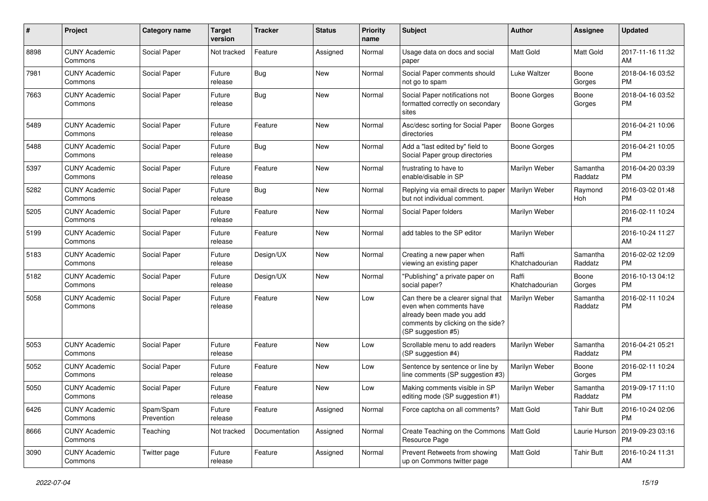| #    | Project                         | <b>Category name</b>    | <b>Target</b><br>version | <b>Tracker</b> | <b>Status</b> | Priority<br>name | <b>Subject</b>                                                                                                                                        | Author                  | <b>Assignee</b>     | <b>Updated</b>                |
|------|---------------------------------|-------------------------|--------------------------|----------------|---------------|------------------|-------------------------------------------------------------------------------------------------------------------------------------------------------|-------------------------|---------------------|-------------------------------|
| 8898 | <b>CUNY Academic</b><br>Commons | Social Paper            | Not tracked              | Feature        | Assigned      | Normal           | Usage data on docs and social<br>paper                                                                                                                | <b>Matt Gold</b>        | Matt Gold           | 2017-11-16 11:32<br>AM        |
| 7981 | <b>CUNY Academic</b><br>Commons | Social Paper            | Future<br>release        | <b>Bug</b>     | New           | Normal           | Social Paper comments should<br>not go to spam                                                                                                        | Luke Waltzer            | Boone<br>Gorges     | 2018-04-16 03:52<br><b>PM</b> |
| 7663 | <b>CUNY Academic</b><br>Commons | Social Paper            | Future<br>release        | Bug            | <b>New</b>    | Normal           | Social Paper notifications not<br>formatted correctly on secondary<br>sites                                                                           | <b>Boone Gorges</b>     | Boone<br>Gorges     | 2018-04-16 03:52<br><b>PM</b> |
| 5489 | <b>CUNY Academic</b><br>Commons | Social Paper            | Future<br>release        | Feature        | <b>New</b>    | Normal           | Asc/desc sorting for Social Paper<br>directories                                                                                                      | <b>Boone Gorges</b>     |                     | 2016-04-21 10:06<br><b>PM</b> |
| 5488 | <b>CUNY Academic</b><br>Commons | Social Paper            | Future<br>release        | Bug            | <b>New</b>    | Normal           | Add a "last edited by" field to<br>Social Paper group directories                                                                                     | <b>Boone Gorges</b>     |                     | 2016-04-21 10:05<br><b>PM</b> |
| 5397 | <b>CUNY Academic</b><br>Commons | Social Paper            | Future<br>release        | Feature        | <b>New</b>    | Normal           | frustrating to have to<br>enable/disable in SP                                                                                                        | Marilyn Weber           | Samantha<br>Raddatz | 2016-04-20 03:39<br><b>PM</b> |
| 5282 | <b>CUNY Academic</b><br>Commons | Social Paper            | Future<br>release        | Bug            | New           | Normal           | Replying via email directs to paper<br>but not individual comment.                                                                                    | Marilyn Weber           | Raymond<br>Hoh      | 2016-03-02 01:48<br><b>PM</b> |
| 5205 | <b>CUNY Academic</b><br>Commons | Social Paper            | Future<br>release        | Feature        | New           | Normal           | Social Paper folders                                                                                                                                  | Marilyn Weber           |                     | 2016-02-11 10:24<br><b>PM</b> |
| 5199 | <b>CUNY Academic</b><br>Commons | Social Paper            | Future<br>release        | Feature        | <b>New</b>    | Normal           | add tables to the SP editor                                                                                                                           | Marilyn Weber           |                     | 2016-10-24 11:27<br>AM        |
| 5183 | <b>CUNY Academic</b><br>Commons | Social Paper            | Future<br>release        | Design/UX      | New           | Normal           | Creating a new paper when<br>viewing an existing paper                                                                                                | Raffi<br>Khatchadourian | Samantha<br>Raddatz | 2016-02-02 12:09<br><b>PM</b> |
| 5182 | <b>CUNY Academic</b><br>Commons | Social Paper            | Future<br>release        | Design/UX      | <b>New</b>    | Normal           | "Publishing" a private paper on<br>social paper?                                                                                                      | Raffi<br>Khatchadourian | Boone<br>Gorges     | 2016-10-13 04:12<br><b>PM</b> |
| 5058 | <b>CUNY Academic</b><br>Commons | Social Paper            | Future<br>release        | Feature        | New           | Low              | Can there be a clearer signal that<br>even when comments have<br>already been made you add<br>comments by clicking on the side?<br>(SP suggestion #5) | Marilyn Weber           | Samantha<br>Raddatz | 2016-02-11 10:24<br><b>PM</b> |
| 5053 | <b>CUNY Academic</b><br>Commons | Social Paper            | Future<br>release        | Feature        | <b>New</b>    | Low              | Scrollable menu to add readers<br>(SP suggestion #4)                                                                                                  | Marilyn Weber           | Samantha<br>Raddatz | 2016-04-21 05:21<br><b>PM</b> |
| 5052 | <b>CUNY Academic</b><br>Commons | Social Paper            | Future<br>release        | Feature        | New           | Low              | Sentence by sentence or line by<br>line comments (SP suggestion #3)                                                                                   | Marilyn Weber           | Boone<br>Gorges     | 2016-02-11 10:24<br><b>PM</b> |
| 5050 | <b>CUNY Academic</b><br>Commons | Social Paper            | Future<br>release        | Feature        | <b>New</b>    | Low              | Making comments visible in SP<br>editing mode (SP suggestion #1)                                                                                      | Marilyn Weber           | Samantha<br>Raddatz | 2019-09-17 11:10<br><b>PM</b> |
| 6426 | <b>CUNY Academic</b><br>Commons | Spam/Spam<br>Prevention | Future<br>release        | Feature        | Assigned      | Normal           | Force captcha on all comments?                                                                                                                        | <b>Matt Gold</b>        | <b>Tahir Butt</b>   | 2016-10-24 02:06<br><b>PM</b> |
| 8666 | <b>CUNY Academic</b><br>Commons | Teaching                | Not tracked              | Documentation  | Assigned      | Normal           | Create Teaching on the Commons   Matt Gold<br>Resource Page                                                                                           |                         | Laurie Hurson       | 2019-09-23 03:16<br><b>PM</b> |
| 3090 | <b>CUNY Academic</b><br>Commons | Twitter page            | Future<br>release        | Feature        | Assigned      | Normal           | Prevent Retweets from showing<br>up on Commons twitter page                                                                                           | Matt Gold               | <b>Tahir Butt</b>   | 2016-10-24 11:31<br>AM        |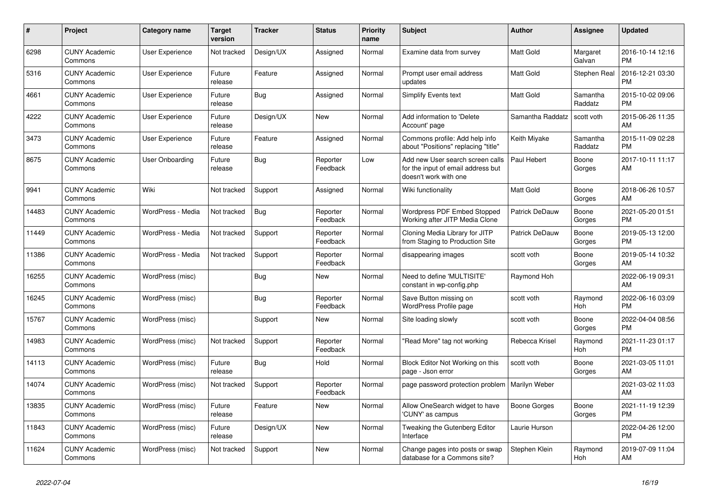| $\#$  | Project                         | <b>Category name</b>   | <b>Target</b><br>version | <b>Tracker</b> | <b>Status</b>        | Priority<br>name | <b>Subject</b>                                                                                  | <b>Author</b>        | <b>Assignee</b>     | <b>Updated</b>                |
|-------|---------------------------------|------------------------|--------------------------|----------------|----------------------|------------------|-------------------------------------------------------------------------------------------------|----------------------|---------------------|-------------------------------|
| 6298  | <b>CUNY Academic</b><br>Commons | <b>User Experience</b> | Not tracked              | Design/UX      | Assigned             | Normal           | Examine data from survey                                                                        | <b>Matt Gold</b>     | Margaret<br>Galvan  | 2016-10-14 12:16<br><b>PM</b> |
| 5316  | <b>CUNY Academic</b><br>Commons | User Experience        | Future<br>release        | Feature        | Assigned             | Normal           | Prompt user email address<br>updates                                                            | <b>Matt Gold</b>     | Stephen Real        | 2016-12-21 03:30<br><b>PM</b> |
| 4661  | <b>CUNY Academic</b><br>Commons | User Experience        | Future<br>release        | Bug            | Assigned             | Normal           | Simplify Events text                                                                            | Matt Gold            | Samantha<br>Raddatz | 2015-10-02 09:06<br><b>PM</b> |
| 4222  | <b>CUNY Academic</b><br>Commons | <b>User Experience</b> | Future<br>release        | Design/UX      | <b>New</b>           | Normal           | Add information to 'Delete<br>Account' page                                                     | Samantha Raddatz     | scott voth          | 2015-06-26 11:35<br>AM        |
| 3473  | <b>CUNY Academic</b><br>Commons | <b>User Experience</b> | Future<br>release        | Feature        | Assigned             | Normal           | Commons profile: Add help info<br>about "Positions" replacing "title"                           | Keith Miyake         | Samantha<br>Raddatz | 2015-11-09 02:28<br><b>PM</b> |
| 8675  | <b>CUNY Academic</b><br>Commons | User Onboarding        | Future<br>release        | Bug            | Reporter<br>Feedback | Low              | Add new User search screen calls<br>for the input of email address but<br>doesn't work with one | Paul Hebert          | Boone<br>Gorges     | 2017-10-11 11:17<br>AM        |
| 9941  | <b>CUNY Academic</b><br>Commons | Wiki                   | Not tracked              | Support        | Assigned             | Normal           | Wiki functionality                                                                              | Matt Gold            | Boone<br>Gorges     | 2018-06-26 10:57<br>AM        |
| 14483 | <b>CUNY Academic</b><br>Commons | WordPress - Media      | Not tracked              | Bug            | Reporter<br>Feedback | Normal           | <b>Wordpress PDF Embed Stopped</b><br>Working after JITP Media Clone                            | Patrick DeDauw       | Boone<br>Gorges     | 2021-05-20 01:51<br><b>PM</b> |
| 11449 | <b>CUNY Academic</b><br>Commons | WordPress - Media      | Not tracked              | Support        | Reporter<br>Feedback | Normal           | Cloning Media Library for JITP<br>from Staging to Production Site                               | Patrick DeDauw       | Boone<br>Gorges     | 2019-05-13 12:00<br><b>PM</b> |
| 11386 | <b>CUNY Academic</b><br>Commons | WordPress - Media      | Not tracked              | Support        | Reporter<br>Feedback | Normal           | disappearing images                                                                             | scott voth           | Boone<br>Gorges     | 2019-05-14 10:32<br>AM        |
| 16255 | <b>CUNY Academic</b><br>Commons | WordPress (misc)       |                          | Bug            | New                  | Normal           | Need to define 'MULTISITE'<br>constant in wp-config.php                                         | Raymond Hoh          |                     | 2022-06-19 09:31<br>AM        |
| 16245 | <b>CUNY Academic</b><br>Commons | WordPress (misc)       |                          | <b>Bug</b>     | Reporter<br>Feedback | Normal           | Save Button missing on<br><b>WordPress Profile page</b>                                         | scott voth           | Raymond<br>Hoh      | 2022-06-16 03:09<br><b>PM</b> |
| 15767 | <b>CUNY Academic</b><br>Commons | WordPress (misc)       |                          | Support        | <b>New</b>           | Normal           | Site loading slowly                                                                             | scott voth           | Boone<br>Gorges     | 2022-04-04 08:56<br><b>PM</b> |
| 14983 | <b>CUNY Academic</b><br>Commons | WordPress (misc)       | Not tracked              | Support        | Reporter<br>Feedback | Normal           | "Read More" tag not working                                                                     | Rebecca Krisel       | Raymond<br>Hoh      | 2021-11-23 01:17<br><b>PM</b> |
| 14113 | <b>CUNY Academic</b><br>Commons | WordPress (misc)       | Future<br>release        | Bug            | Hold                 | Normal           | Block Editor Not Working on this<br>page - Json error                                           | scott voth           | Boone<br>Gorges     | 2021-03-05 11:01<br>AM        |
| 14074 | <b>CUNY Academic</b><br>Commons | WordPress (misc)       | Not tracked              | Support        | Reporter<br>Feedback | Normal           | page password protection problem                                                                | <b>Marilyn Weber</b> |                     | 2021-03-02 11:03<br>AM        |
| 13835 | <b>CUNY Academic</b><br>Commons | WordPress (misc)       | Future<br>release        | Feature        | New                  | Normal           | Allow OneSearch widget to have<br>'CUNY' as campus                                              | Boone Gorges         | Boone<br>Gorges     | 2021-11-19 12:39<br><b>PM</b> |
| 11843 | <b>CUNY Academic</b><br>Commons | WordPress (misc)       | Future<br>release        | Design/UX      | <b>New</b>           | Normal           | Tweaking the Gutenberg Editor<br>Interface                                                      | Laurie Hurson        |                     | 2022-04-26 12:00<br><b>PM</b> |
| 11624 | <b>CUNY Academic</b><br>Commons | WordPress (misc)       | Not tracked              | Support        | <b>New</b>           | Normal           | Change pages into posts or swap<br>database for a Commons site?                                 | Stephen Klein        | Raymond<br>Hoh      | 2019-07-09 11:04<br>AM        |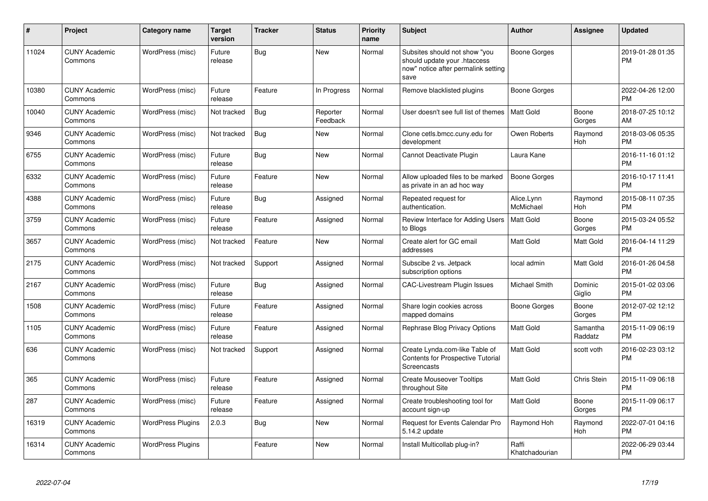| $\pmb{\#}$ | Project                         | <b>Category name</b>     | <b>Target</b><br>version | <b>Tracker</b> | <b>Status</b>        | <b>Priority</b><br>name | <b>Subject</b>                                                                                               | <b>Author</b>           | <b>Assignee</b>     | <b>Updated</b>                |
|------------|---------------------------------|--------------------------|--------------------------|----------------|----------------------|-------------------------|--------------------------------------------------------------------------------------------------------------|-------------------------|---------------------|-------------------------------|
| 11024      | <b>CUNY Academic</b><br>Commons | WordPress (misc)         | Future<br>release        | Bug            | <b>New</b>           | Normal                  | Subsites should not show "you<br>should update your .htaccess<br>now" notice after permalink setting<br>save | Boone Gorges            |                     | 2019-01-28 01:35<br><b>PM</b> |
| 10380      | <b>CUNY Academic</b><br>Commons | WordPress (misc)         | Future<br>release        | Feature        | In Progress          | Normal                  | Remove blacklisted plugins                                                                                   | Boone Gorges            |                     | 2022-04-26 12:00<br><b>PM</b> |
| 10040      | <b>CUNY Academic</b><br>Commons | WordPress (misc)         | Not tracked              | Bug            | Reporter<br>Feedback | Normal                  | User doesn't see full list of themes                                                                         | <b>Matt Gold</b>        | Boone<br>Gorges     | 2018-07-25 10:12<br>AM        |
| 9346       | <b>CUNY Academic</b><br>Commons | WordPress (misc)         | Not tracked              | <b>Bug</b>     | <b>New</b>           | Normal                  | Clone cetls.bmcc.cuny.edu for<br>development                                                                 | Owen Roberts            | Raymond<br>Hoh      | 2018-03-06 05:35<br><b>PM</b> |
| 6755       | <b>CUNY Academic</b><br>Commons | WordPress (misc)         | Future<br>release        | Bug            | <b>New</b>           | Normal                  | Cannot Deactivate Plugin                                                                                     | Laura Kane              |                     | 2016-11-16 01:12<br><b>PM</b> |
| 6332       | <b>CUNY Academic</b><br>Commons | WordPress (misc)         | Future<br>release        | Feature        | <b>New</b>           | Normal                  | Allow uploaded files to be marked<br>as private in an ad hoc way                                             | <b>Boone Gorges</b>     |                     | 2016-10-17 11:41<br><b>PM</b> |
| 4388       | <b>CUNY Academic</b><br>Commons | WordPress (misc)         | Future<br>release        | Bug            | Assigned             | Normal                  | Repeated request for<br>authentication.                                                                      | Alice.Lynn<br>McMichael | Raymond<br>Hoh      | 2015-08-11 07:35<br><b>PM</b> |
| 3759       | <b>CUNY Academic</b><br>Commons | WordPress (misc)         | Future<br>release        | Feature        | Assigned             | Normal                  | Review Interface for Adding Users<br>to Blogs                                                                | Matt Gold               | Boone<br>Gorges     | 2015-03-24 05:52<br><b>PM</b> |
| 3657       | <b>CUNY Academic</b><br>Commons | WordPress (misc)         | Not tracked              | Feature        | <b>New</b>           | Normal                  | Create alert for GC email<br>addresses                                                                       | Matt Gold               | Matt Gold           | 2016-04-14 11:29<br><b>PM</b> |
| 2175       | <b>CUNY Academic</b><br>Commons | WordPress (misc)         | Not tracked              | Support        | Assigned             | Normal                  | Subscibe 2 vs. Jetpack<br>subscription options                                                               | local admin             | Matt Gold           | 2016-01-26 04:58<br><b>PM</b> |
| 2167       | <b>CUNY Academic</b><br>Commons | WordPress (misc)         | Future<br>release        | Bug            | Assigned             | Normal                  | <b>CAC-Livestream Plugin Issues</b>                                                                          | Michael Smith           | Dominic<br>Giglio   | 2015-01-02 03:06<br><b>PM</b> |
| 1508       | <b>CUNY Academic</b><br>Commons | WordPress (misc)         | Future<br>release        | Feature        | Assigned             | Normal                  | Share login cookies across<br>mapped domains                                                                 | Boone Gorges            | Boone<br>Gorges     | 2012-07-02 12:12<br><b>PM</b> |
| 1105       | <b>CUNY Academic</b><br>Commons | WordPress (misc)         | Future<br>release        | Feature        | Assigned             | Normal                  | Rephrase Blog Privacy Options                                                                                | <b>Matt Gold</b>        | Samantha<br>Raddatz | 2015-11-09 06:19<br><b>PM</b> |
| 636        | <b>CUNY Academic</b><br>Commons | WordPress (misc)         | Not tracked              | Support        | Assigned             | Normal                  | Create Lynda.com-like Table of<br><b>Contents for Prospective Tutorial</b><br>Screencasts                    | Matt Gold               | scott voth          | 2016-02-23 03:12<br><b>PM</b> |
| 365        | <b>CUNY Academic</b><br>Commons | WordPress (misc)         | Future<br>release        | Feature        | Assigned             | Normal                  | <b>Create Mouseover Tooltips</b><br>throughout Site                                                          | Matt Gold               | Chris Stein         | 2015-11-09 06:18<br><b>PM</b> |
| 287        | <b>CUNY Academic</b><br>Commons | WordPress (misc)         | Future<br>release        | Feature        | Assigned             | Normal                  | Create troubleshooting tool for<br>account sign-up                                                           | Matt Gold               | Boone<br>Gorges     | 2015-11-09 06:17<br><b>PM</b> |
| 16319      | <b>CUNY Academic</b><br>Commons | <b>WordPress Plugins</b> | 2.0.3                    | <b>Bug</b>     | <b>New</b>           | Normal                  | Request for Events Calendar Pro<br>5.14.2 update                                                             | Raymond Hoh             | Raymond<br>Hoh      | 2022-07-01 04:16<br><b>PM</b> |
| 16314      | <b>CUNY Academic</b><br>Commons | <b>WordPress Plugins</b> |                          | Feature        | <b>New</b>           | Normal                  | Install Multicollab plug-in?                                                                                 | Raffi<br>Khatchadourian |                     | 2022-06-29 03:44<br>PM        |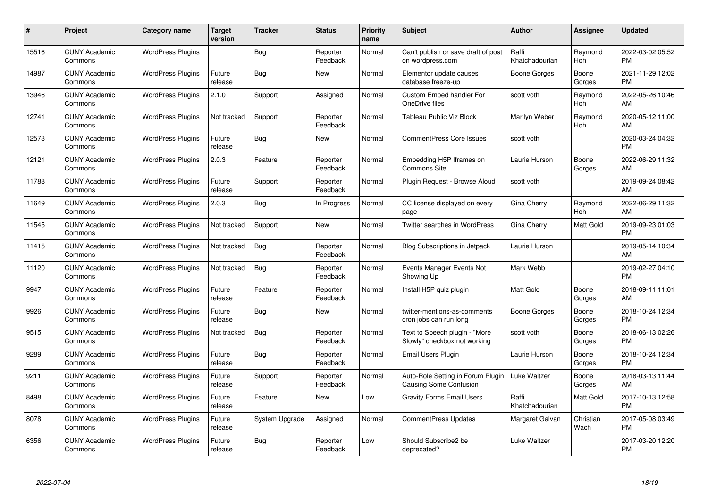| $\#$  | Project                         | <b>Category name</b>     | <b>Target</b><br>version | <b>Tracker</b> | <b>Status</b>        | Priority<br>name | <b>Subject</b>                                                | <b>Author</b>           | <b>Assignee</b>   | <b>Updated</b>                |
|-------|---------------------------------|--------------------------|--------------------------|----------------|----------------------|------------------|---------------------------------------------------------------|-------------------------|-------------------|-------------------------------|
| 15516 | <b>CUNY Academic</b><br>Commons | <b>WordPress Plugins</b> |                          | Bug            | Reporter<br>Feedback | Normal           | Can't publish or save draft of post<br>on wordpress.com       | Raffi<br>Khatchadourian | Raymond<br>Hoh    | 2022-03-02 05:52<br><b>PM</b> |
| 14987 | <b>CUNY Academic</b><br>Commons | <b>WordPress Plugins</b> | Future<br>release        | Bug            | <b>New</b>           | Normal           | Elementor update causes<br>database freeze-up                 | Boone Gorges            | Boone<br>Gorges   | 2021-11-29 12:02<br><b>PM</b> |
| 13946 | <b>CUNY Academic</b><br>Commons | <b>WordPress Plugins</b> | 2.1.0                    | Support        | Assigned             | Normal           | <b>Custom Embed handler For</b><br>OneDrive files             | scott voth              | Raymond<br>Hoh    | 2022-05-26 10:46<br>AM        |
| 12741 | <b>CUNY Academic</b><br>Commons | <b>WordPress Plugins</b> | Not tracked              | Support        | Reporter<br>Feedback | Normal           | Tableau Public Viz Block                                      | Marilyn Weber           | Raymond<br>Hoh    | 2020-05-12 11:00<br>AM        |
| 12573 | <b>CUNY Academic</b><br>Commons | <b>WordPress Plugins</b> | Future<br>release        | Bug            | <b>New</b>           | Normal           | <b>CommentPress Core Issues</b>                               | scott voth              |                   | 2020-03-24 04:32<br><b>PM</b> |
| 12121 | <b>CUNY Academic</b><br>Commons | <b>WordPress Plugins</b> | 2.0.3                    | Feature        | Reporter<br>Feedback | Normal           | Embedding H5P Iframes on<br><b>Commons Site</b>               | Laurie Hurson           | Boone<br>Gorges   | 2022-06-29 11:32<br>AM        |
| 11788 | <b>CUNY Academic</b><br>Commons | <b>WordPress Plugins</b> | Future<br>release        | Support        | Reporter<br>Feedback | Normal           | Plugin Request - Browse Aloud                                 | scott voth              |                   | 2019-09-24 08:42<br>AM        |
| 11649 | <b>CUNY Academic</b><br>Commons | <b>WordPress Plugins</b> | 2.0.3                    | Bug            | In Progress          | Normal           | CC license displayed on every<br>page                         | Gina Cherry             | Raymond<br>Hoh    | 2022-06-29 11:32<br>AM        |
| 11545 | <b>CUNY Academic</b><br>Commons | <b>WordPress Plugins</b> | Not tracked              | Support        | New                  | Normal           | <b>Twitter searches in WordPress</b>                          | Gina Cherry             | <b>Matt Gold</b>  | 2019-09-23 01:03<br><b>PM</b> |
| 11415 | <b>CUNY Academic</b><br>Commons | <b>WordPress Plugins</b> | Not tracked              | Bug            | Reporter<br>Feedback | Normal           | <b>Blog Subscriptions in Jetpack</b>                          | Laurie Hurson           |                   | 2019-05-14 10:34<br>AM        |
| 11120 | <b>CUNY Academic</b><br>Commons | <b>WordPress Plugins</b> | Not tracked              | Bug            | Reporter<br>Feedback | Normal           | Events Manager Events Not<br>Showing Up                       | Mark Webb               |                   | 2019-02-27 04:10<br><b>PM</b> |
| 9947  | <b>CUNY Academic</b><br>Commons | <b>WordPress Plugins</b> | Future<br>release        | Feature        | Reporter<br>Feedback | Normal           | Install H5P quiz plugin                                       | Matt Gold               | Boone<br>Gorges   | 2018-09-11 11:01<br>AM        |
| 9926  | <b>CUNY Academic</b><br>Commons | <b>WordPress Plugins</b> | Future<br>release        | Bug            | New                  | Normal           | twitter-mentions-as-comments<br>cron jobs can run long        | Boone Gorges            | Boone<br>Gorges   | 2018-10-24 12:34<br><b>PM</b> |
| 9515  | <b>CUNY Academic</b><br>Commons | <b>WordPress Plugins</b> | Not tracked              | <b>Bug</b>     | Reporter<br>Feedback | Normal           | Text to Speech plugin - "More<br>Slowly" checkbox not working | scott voth              | Boone<br>Gorges   | 2018-06-13 02:26<br><b>PM</b> |
| 9289  | <b>CUNY Academic</b><br>Commons | <b>WordPress Plugins</b> | Future<br>release        | Bug            | Reporter<br>Feedback | Normal           | Email Users Plugin                                            | Laurie Hurson           | Boone<br>Gorges   | 2018-10-24 12:34<br><b>PM</b> |
| 9211  | <b>CUNY Academic</b><br>Commons | <b>WordPress Plugins</b> | Future<br>release        | Support        | Reporter<br>Feedback | Normal           | Auto-Role Setting in Forum Plugin<br>Causing Some Confusion   | Luke Waltzer            | Boone<br>Gorges   | 2018-03-13 11:44<br>AM        |
| 8498  | <b>CUNY Academic</b><br>Commons | <b>WordPress Plugins</b> | Future<br>release        | Feature        | New                  | Low              | <b>Gravity Forms Email Users</b>                              | Raffi<br>Khatchadourian | Matt Gold         | 2017-10-13 12:58<br><b>PM</b> |
| 8078  | <b>CUNY Academic</b><br>Commons | <b>WordPress Plugins</b> | Future<br>release        | System Upgrade | Assigned             | Normal           | <b>CommentPress Updates</b>                                   | Margaret Galvan         | Christian<br>Wach | 2017-05-08 03:49<br><b>PM</b> |
| 6356  | CUNY Academic<br>Commons        | <b>WordPress Plugins</b> | Future<br>release        | Bug            | Reporter<br>Feedback | Low              | Should Subscribe2 be<br>deprecated?                           | Luke Waltzer            |                   | 2017-03-20 12:20<br><b>PM</b> |